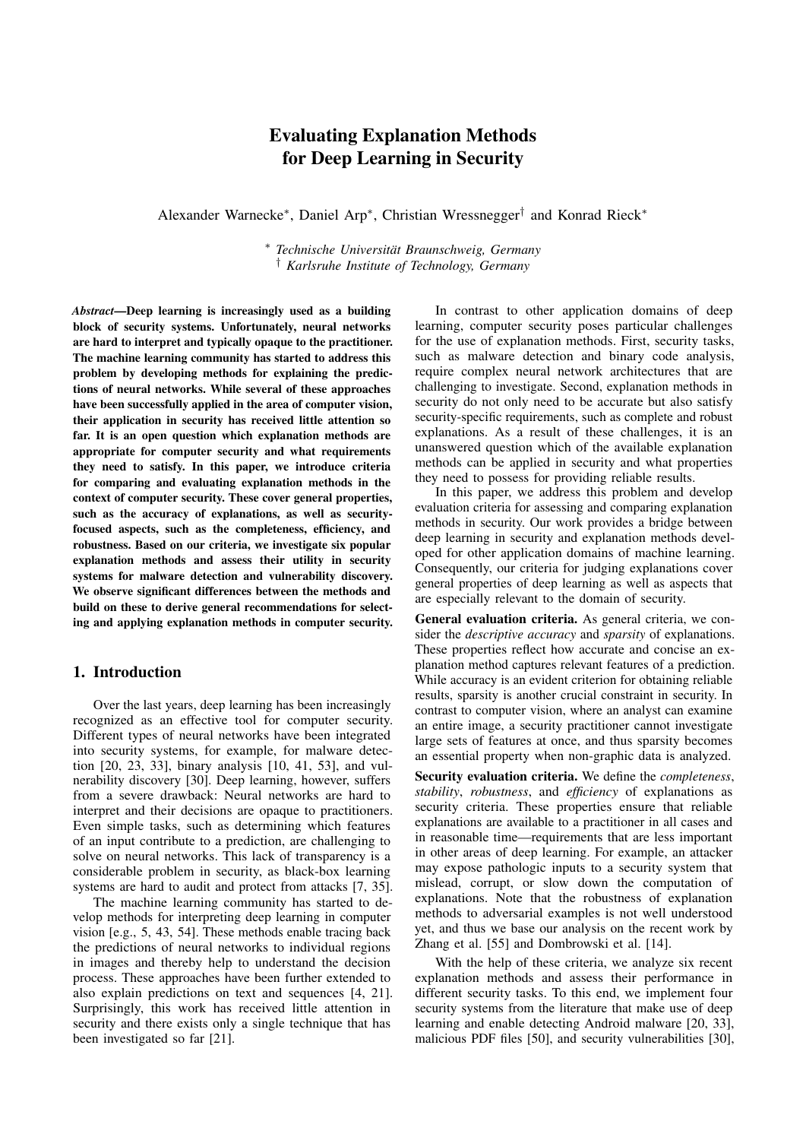### Evaluating Explanation Methods for Deep Learning in Security

Alexander Warnecke<sup>∗</sup> , Daniel Arp<sup>∗</sup> , Christian Wressnegger† and Konrad Rieck<sup>∗</sup>

<sup>∗</sup> *Technische Universität Braunschweig, Germany* † *Karlsruhe Institute of Technology, Germany*

*Abstract*—Deep learning is increasingly used as a building block of security systems. Unfortunately, neural networks are hard to interpret and typically opaque to the practitioner. The machine learning community has started to address this problem by developing methods for explaining the predictions of neural networks. While several of these approaches have been successfully applied in the area of computer vision, their application in security has received little attention so far. It is an open question which explanation methods are appropriate for computer security and what requirements they need to satisfy. In this paper, we introduce criteria for comparing and evaluating explanation methods in the context of computer security. These cover general properties, such as the accuracy of explanations, as well as securityfocused aspects, such as the completeness, efficiency, and robustness. Based on our criteria, we investigate six popular explanation methods and assess their utility in security systems for malware detection and vulnerability discovery. We observe significant differences between the methods and build on these to derive general recommendations for selecting and applying explanation methods in computer security.

### 1. Introduction

Over the last years, deep learning has been increasingly recognized as an effective tool for computer security. Different types of neural networks have been integrated into security systems, for example, for malware detection [\[20,](#page-13-0) [23,](#page-13-1) [33\]](#page-14-0), binary analysis [\[10,](#page-13-2) [41,](#page-14-1) [53\]](#page-14-2), and vulnerability discovery [\[30\]](#page-14-3). Deep learning, however, suffers from a severe drawback: Neural networks are hard to interpret and their decisions are opaque to practitioners. Even simple tasks, such as determining which features of an input contribute to a prediction, are challenging to solve on neural networks. This lack of transparency is a considerable problem in security, as black-box learning systems are hard to audit and protect from attacks [\[7,](#page-13-3) [35\]](#page-14-4).

The machine learning community has started to develop methods for interpreting deep learning in computer vision [e.g., [5,](#page-13-4) [43,](#page-14-5) [54\]](#page-14-6). These methods enable tracing back the predictions of neural networks to individual regions in images and thereby help to understand the decision process. These approaches have been further extended to also explain predictions on text and sequences [\[4,](#page-13-5) [21\]](#page-13-6). Surprisingly, this work has received little attention in security and there exists only a single technique that has been investigated so far [\[21\]](#page-13-6).

In contrast to other application domains of deep learning, computer security poses particular challenges for the use of explanation methods. First, security tasks, such as malware detection and binary code analysis, require complex neural network architectures that are challenging to investigate. Second, explanation methods in security do not only need to be accurate but also satisfy security-specific requirements, such as complete and robust explanations. As a result of these challenges, it is an unanswered question which of the available explanation methods can be applied in security and what properties they need to possess for providing reliable results.

In this paper, we address this problem and develop evaluation criteria for assessing and comparing explanation methods in security. Our work provides a bridge between deep learning in security and explanation methods developed for other application domains of machine learning. Consequently, our criteria for judging explanations cover general properties of deep learning as well as aspects that are especially relevant to the domain of security.

General evaluation criteria. As general criteria, we consider the *descriptive accuracy* and *sparsity* of explanations. These properties reflect how accurate and concise an explanation method captures relevant features of a prediction. While accuracy is an evident criterion for obtaining reliable results, sparsity is another crucial constraint in security. In contrast to computer vision, where an analyst can examine an entire image, a security practitioner cannot investigate large sets of features at once, and thus sparsity becomes an essential property when non-graphic data is analyzed.

Security evaluation criteria. We define the *completeness*, *stability*, *robustness*, and *efficiency* of explanations as security criteria. These properties ensure that reliable explanations are available to a practitioner in all cases and in reasonable time—requirements that are less important in other areas of deep learning. For example, an attacker may expose pathologic inputs to a security system that mislead, corrupt, or slow down the computation of explanations. Note that the robustness of explanation methods to adversarial examples is not well understood yet, and thus we base our analysis on the recent work by Zhang et al. [\[55\]](#page-14-7) and Dombrowski et al. [\[14\]](#page-13-7).

With the help of these criteria, we analyze six recent explanation methods and assess their performance in different security tasks. To this end, we implement four security systems from the literature that make use of deep learning and enable detecting Android malware [\[20,](#page-13-0) [33\]](#page-14-0), malicious PDF files [\[50\]](#page-14-8), and security vulnerabilities [\[30\]](#page-14-3),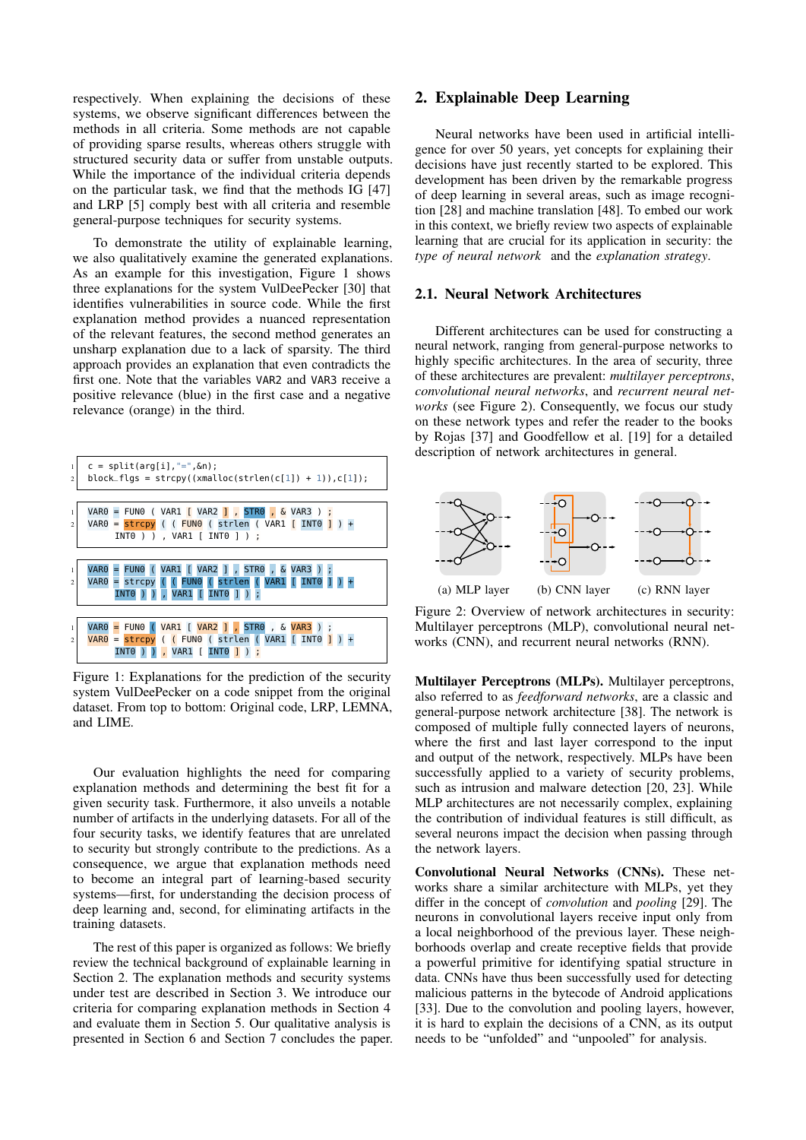respectively. When explaining the decisions of these systems, we observe significant differences between the methods in all criteria. Some methods are not capable of providing sparse results, whereas others struggle with structured security data or suffer from unstable outputs. While the importance of the individual criteria depends on the particular task, we find that the methods IG [\[47\]](#page-14-9) and LRP [\[5\]](#page-13-4) comply best with all criteria and resemble general-purpose techniques for security systems.

To demonstrate the utility of explainable learning, we also qualitatively examine the generated explanations. As an example for this investigation, Figure [1](#page-1-0) shows three explanations for the system VulDeePecker [\[30\]](#page-14-3) that identifies vulnerabilities in source code. While the first explanation method provides a nuanced representation of the relevant features, the second method generates an unsharp explanation due to a lack of sparsity. The third approach provides an explanation that even contradicts the first one. Note that the variables VAR2 and VAR3 receive a positive relevance (blue) in the first case and a negative relevance (orange) in the third.

<span id="page-1-0"></span>

Figure 1: Explanations for the prediction of the security system VulDeePecker on a code snippet from the original dataset. From top to bottom: Original code, LRP, LEMNA, and LIME.

Our evaluation highlights the need for comparing explanation methods and determining the best fit for a given security task. Furthermore, it also unveils a notable number of artifacts in the underlying datasets. For all of the four security tasks, we identify features that are unrelated to security but strongly contribute to the predictions. As a consequence, we argue that explanation methods need to become an integral part of learning-based security systems—first, for understanding the decision process of deep learning and, second, for eliminating artifacts in the training datasets.

The rest of this paper is organized as follows: We briefly review the technical background of explainable learning in Section [2.](#page-1-1) The explanation methods and security systems under test are described in Section [3.](#page-2-0) We introduce our criteria for comparing explanation methods in Section [4](#page-4-0) and evaluate them in Section [5.](#page-7-0) Our qualitative analysis is presented in Section [6](#page-11-0) and Section [7](#page-12-0) concludes the paper.

### <span id="page-1-1"></span>2. Explainable Deep Learning

Neural networks have been used in artificial intelligence for over 50 years, yet concepts for explaining their decisions have just recently started to be explored. This development has been driven by the remarkable progress of deep learning in several areas, such as image recognition [\[28\]](#page-13-8) and machine translation [\[48\]](#page-14-10). To embed our work in this context, we briefly review two aspects of explainable learning that are crucial for its application in security: the *type of neural network* and the *explanation strategy*.

### <span id="page-1-3"></span>2.1. Neural Network Architectures

Different architectures can be used for constructing a neural network, ranging from general-purpose networks to highly specific architectures. In the area of security, three of these architectures are prevalent: *multilayer perceptrons*, *convolutional neural networks*, and *recurrent neural networks* (see Figure [2\)](#page-1-2). Consequently, we focus our study on these network types and refer the reader to the books by Rojas [\[37\]](#page-14-11) and Goodfellow et al. [\[19\]](#page-13-9) for a detailed description of network architectures in general.

<span id="page-1-2"></span>

Figure 2: Overview of network architectures in security: Multilayer perceptrons (MLP), convolutional neural networks (CNN), and recurrent neural networks (RNN).

Multilayer Perceptrons (MLPs). Multilayer perceptrons, also referred to as *feedforward networks*, are a classic and general-purpose network architecture [\[38\]](#page-14-12). The network is composed of multiple fully connected layers of neurons, where the first and last layer correspond to the input and output of the network, respectively. MLPs have been successfully applied to a variety of security problems, such as intrusion and malware detection [\[20,](#page-13-0) [23\]](#page-13-1). While MLP architectures are not necessarily complex, explaining the contribution of individual features is still difficult, as several neurons impact the decision when passing through the network layers.

Convolutional Neural Networks (CNNs). These networks share a similar architecture with MLPs, yet they differ in the concept of *convolution* and *pooling* [\[29\]](#page-13-10). The neurons in convolutional layers receive input only from a local neighborhood of the previous layer. These neighborhoods overlap and create receptive fields that provide a powerful primitive for identifying spatial structure in data. CNNs have thus been successfully used for detecting malicious patterns in the bytecode of Android applications [\[33\]](#page-14-0). Due to the convolution and pooling layers, however, it is hard to explain the decisions of a CNN, as its output needs to be "unfolded" and "unpooled" for analysis.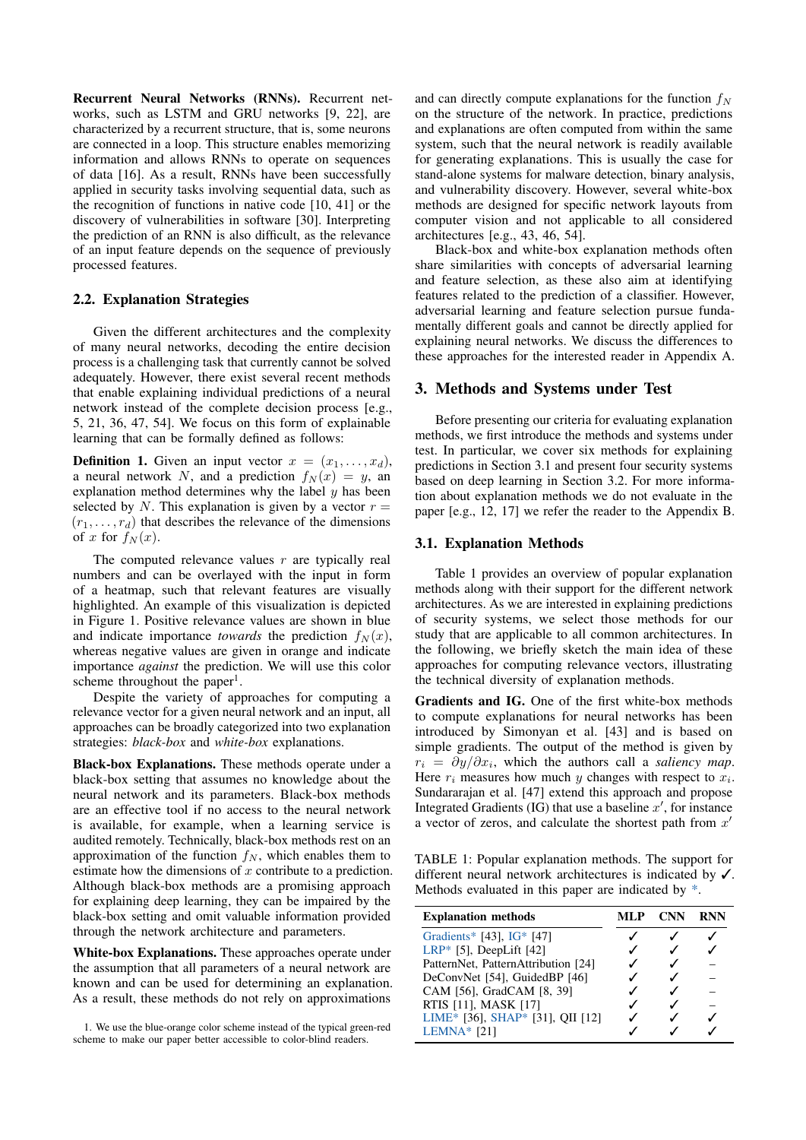Recurrent Neural Networks (RNNs). Recurrent networks, such as LSTM and GRU networks [\[9,](#page-13-11) [22\]](#page-13-12), are characterized by a recurrent structure, that is, some neurons are connected in a loop. This structure enables memorizing information and allows RNNs to operate on sequences of data [\[16\]](#page-13-13). As a result, RNNs have been successfully applied in security tasks involving sequential data, such as the recognition of functions in native code [\[10,](#page-13-2) [41\]](#page-14-1) or the discovery of vulnerabilities in software [\[30\]](#page-14-3). Interpreting the prediction of an RNN is also difficult, as the relevance of an input feature depends on the sequence of previously processed features.

### 2.2. Explanation Strategies

Given the different architectures and the complexity of many neural networks, decoding the entire decision process is a challenging task that currently cannot be solved adequately. However, there exist several recent methods that enable explaining individual predictions of a neural network instead of the complete decision process [e.g., [5,](#page-13-4) [21,](#page-13-6) [36,](#page-14-13) [47,](#page-14-9) [54\]](#page-14-6). We focus on this form of explainable learning that can be formally defined as follows:

**Definition 1.** Given an input vector  $x = (x_1, \ldots, x_d)$ , a neural network N, and a prediction  $f_N(x) = y$ , an explanation method determines why the label  $y$  has been selected by N. This explanation is given by a vector  $r =$  $(r_1, \ldots, r_d)$  that describes the relevance of the dimensions of x for  $f_N(x)$ .

The computed relevance values  $r$  are typically real numbers and can be overlayed with the input in form of a heatmap, such that relevant features are visually highlighted. An example of this visualization is depicted in Figure [1.](#page-1-0) Positive relevance values are shown in blue and indicate importance *towards* the prediction  $f_N(x)$ , whereas negative values are given in orange and indicate importance *against* the prediction. We will use this color scheme throughout the paper<sup>[1](#page-2-1)</sup>.

Despite the variety of approaches for computing a relevance vector for a given neural network and an input, all approaches can be broadly categorized into two explanation strategies: *black-box* and *white-box* explanations.

Black-box Explanations. These methods operate under a black-box setting that assumes no knowledge about the neural network and its parameters. Black-box methods are an effective tool if no access to the neural network is available, for example, when a learning service is audited remotely. Technically, black-box methods rest on an approximation of the function  $f_N$ , which enables them to estimate how the dimensions of x contribute to a prediction. Although black-box methods are a promising approach for explaining deep learning, they can be impaired by the black-box setting and omit valuable information provided through the network architecture and parameters.

White-box Explanations. These approaches operate under the assumption that all parameters of a neural network are known and can be used for determining an explanation. As a result, these methods do not rely on approximations

<span id="page-2-1"></span>1. We use the blue-orange color scheme instead of the typical green-red scheme to make our paper better accessible to color-blind readers.

and can directly compute explanations for the function  $f_N$ on the structure of the network. In practice, predictions and explanations are often computed from within the same system, such that the neural network is readily available for generating explanations. This is usually the case for stand-alone systems for malware detection, binary analysis, and vulnerability discovery. However, several white-box methods are designed for specific network layouts from computer vision and not applicable to all considered architectures [e.g., [43,](#page-14-5) [46,](#page-14-14) [54\]](#page-14-6).

Black-box and white-box explanation methods often share similarities with concepts of adversarial learning and feature selection, as these also aim at identifying features related to the prediction of a classifier. However, adversarial learning and feature selection pursue fundamentally different goals and cannot be directly applied for explaining neural networks. We discuss the differences to these approaches for the interested reader in Appendix [A.](#page-15-0)

### <span id="page-2-0"></span>3. Methods and Systems under Test

Before presenting our criteria for evaluating explanation methods, we first introduce the methods and systems under test. In particular, we cover six methods for explaining predictions in Section [3.1](#page-2-2) and present four security systems based on deep learning in Section [3.2.](#page-3-0) For more information about explanation methods we do not evaluate in the paper [e.g., [12,](#page-13-14) [17\]](#page-13-15) we refer the reader to the Appendix [B.](#page-15-1)

### <span id="page-2-2"></span>3.1. Explanation Methods

Table [1](#page-2-3) provides an overview of popular explanation methods along with their support for the different network architectures. As we are interested in explaining predictions of security systems, we select those methods for our study that are applicable to all common architectures. In the following, we briefly sketch the main idea of these approaches for computing relevance vectors, illustrating the technical diversity of explanation methods.

Gradients and IG. One of the first white-box methods to compute explanations for neural networks has been introduced by Simonyan et al. [\[43\]](#page-14-5) and is based on simple gradients. The output of the method is given by  $r_i = \frac{\partial y}{\partial x_i}$ , which the authors call a *saliency map*. Here  $r_i$  measures how much y changes with respect to  $x_i$ . Sundararajan et al. [\[47\]](#page-14-9) extend this approach and propose Integrated Gradients (IG) that use a baseline  $x'$ , for instance a vector of zeros, and calculate the shortest path from  $x'$ 

<span id="page-2-3"></span>TABLE 1: Popular explanation methods. The support for different neural network architectures is indicated by ✓. Methods evaluated in this paper are indicated by \*.

| <b>Explanation methods</b>          | ML P | <b>CNN</b> | <b>RNN</b> |
|-------------------------------------|------|------------|------------|
| Gradients* [43], IG* [47]           |      |            |            |
| LRP* [5], DeepLift $[42]$           |      |            |            |
| PatternNet, PatternAttribution [24] |      |            |            |
| DeConvNet [54], GuidedBP [46]       |      |            |            |
| CAM [56], GradCAM [8, 39]           |      |            |            |
| RTIS [11], MASK [17]                |      |            |            |
| LIME* [36], SHAP* [31], QII [12]    |      |            |            |
| $LEMNA*$ [21]                       |      |            |            |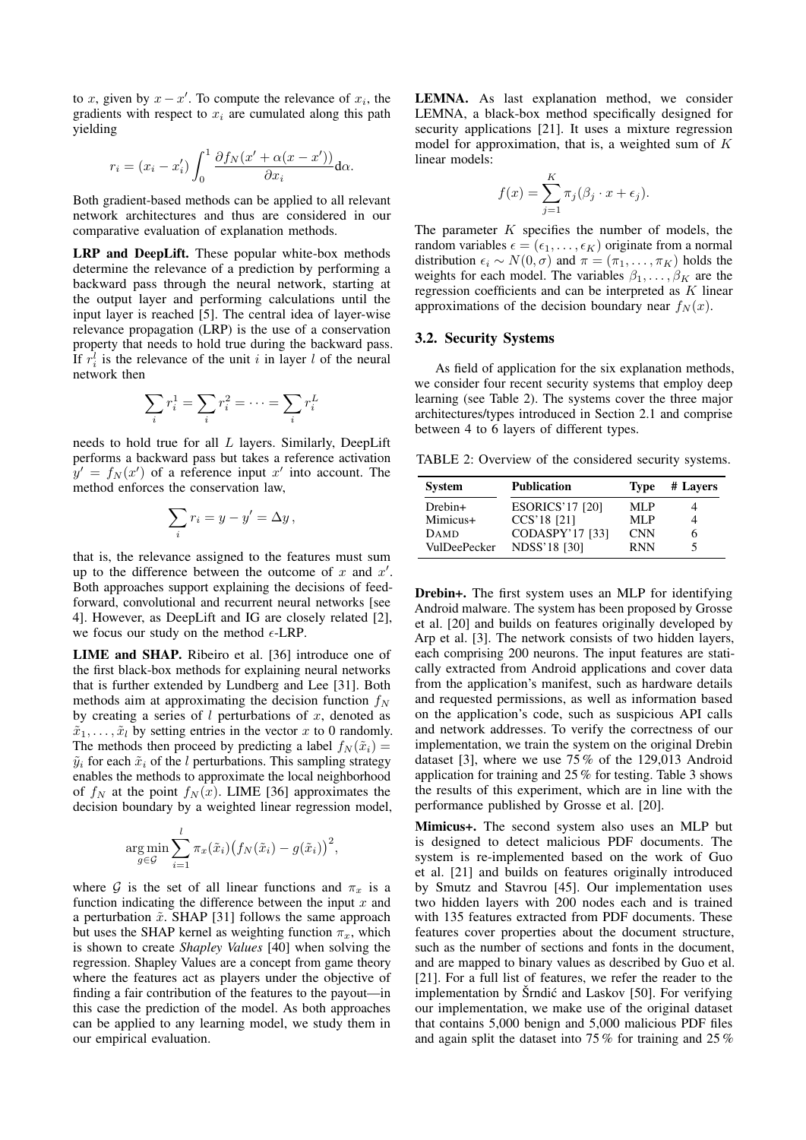to x, given by  $x - x'$ . To compute the relevance of  $x_i$ , the gradients with respect to  $x_i$  are cumulated along this path yielding

$$
r_i = (x_i - x'_i) \int_0^1 \frac{\partial f_N(x' + \alpha(x - x'))}{\partial x_i} d\alpha.
$$

Both gradient-based methods can be applied to all relevant network architectures and thus are considered in our comparative evaluation of explanation methods.

LRP and DeepLift. These popular white-box methods determine the relevance of a prediction by performing a backward pass through the neural network, starting at the output layer and performing calculations until the input layer is reached [\[5\]](#page-13-4). The central idea of layer-wise relevance propagation (LRP) is the use of a conservation property that needs to hold true during the backward pass. If  $r_i^l$  is the relevance of the unit i in layer l of the neural network then

$$
\sum_i r_i^1 = \sum_i r_i^2 = \dots = \sum_i r_i^L
$$

needs to hold true for all L layers. Similarly, DeepLift performs a backward pass but takes a reference activation  $y' = f_N(x')$  of a reference input x' into account. The method enforces the conservation law,

$$
\sum_{i} r_i = y - y' = \Delta y,
$$

that is, the relevance assigned to the features must sum up to the difference between the outcome of  $x$  and  $x'$ . Both approaches support explaining the decisions of feedforward, convolutional and recurrent neural networks [see [4\]](#page-13-5). However, as DeepLift and IG are closely related [\[2\]](#page-13-19), we focus our study on the method  $\epsilon$ -LRP.

LIME and SHAP. Ribeiro et al. [\[36\]](#page-14-13) introduce one of the first black-box methods for explaining neural networks that is further extended by Lundberg and Lee [\[31\]](#page-14-18). Both methods aim at approximating the decision function  $f_N$ by creating a series of  $l$  perturbations of  $x$ , denoted as  $\tilde{x}_1, \ldots, \tilde{x}_l$  by setting entries in the vector x to 0 randomly. The methods then proceed by predicting a label  $f_N(\tilde{x}_i)$  =  $\tilde{y}_i$  for each  $\tilde{x}_i$  of the l perturbations. This sampling strategy enables the methods to approximate the local neighborhood of  $f_N$  at the point  $f_N(x)$ . LIME [\[36\]](#page-14-13) approximates the decision boundary by a weighted linear regression model,

$$
\underset{g \in \mathcal{G}}{\arg \min} \sum_{i=1}^{l} \pi_x(\tilde{x}_i) (f_N(\tilde{x}_i) - g(\tilde{x}_i))^2,
$$

where G is the set of all linear functions and  $\pi_x$  is a function indicating the difference between the input  $x$  and a perturbation  $\tilde{x}$ . SHAP [\[31\]](#page-14-18) follows the same approach but uses the SHAP kernel as weighting function  $\pi_x$ , which is shown to create *Shapley Values* [\[40\]](#page-14-19) when solving the regression. Shapley Values are a concept from game theory where the features act as players under the objective of finding a fair contribution of the features to the payout—in this case the prediction of the model. As both approaches can be applied to any learning model, we study them in our empirical evaluation.

LEMNA. As last explanation method, we consider LEMNA, a black-box method specifically designed for security applications [\[21\]](#page-13-6). It uses a mixture regression model for approximation, that is, a weighted sum of K linear models:

$$
f(x) = \sum_{j=1}^{K} \pi_j(\beta_j \cdot x + \epsilon_j).
$$

The parameter  $K$  specifies the number of models, the random variables  $\epsilon = (\epsilon_1, \ldots, \epsilon_K)$  originate from a normal distribution  $\epsilon_i \sim N(0, \sigma)$  and  $\pi = (\pi_1, \ldots, \pi_K)$  holds the weights for each model. The variables  $\beta_1, \ldots, \beta_K$  are the regression coefficients and can be interpreted as K linear approximations of the decision boundary near  $f_N(x)$ .

### <span id="page-3-0"></span>3.2. Security Systems

As field of application for the six explanation methods, we consider four recent security systems that employ deep learning (see Table [2\)](#page-3-1). The systems cover the three major architectures/types introduced in Section [2.1](#page-1-3) and comprise between 4 to 6 layers of different types.

<span id="page-3-1"></span>TABLE 2: Overview of the considered security systems.

| <b>System</b> | <b>Publication</b>     | <b>Type</b> | # Lavers |
|---------------|------------------------|-------------|----------|
| $D$ rebin+    | <b>ESORICS'17 [20]</b> | ML P        |          |
| Mimicus+      | CCS'18 [21]            | MLP         |          |
| <b>DAMD</b>   | CODASPY'17 [33]        | <b>CNN</b>  | h        |
| VulDeePecker  | <b>NDSS'18 [30]</b>    | <b>RNN</b>  |          |

Drebin+. The first system uses an MLP for identifying Android malware. The system has been proposed by Grosse et al. [\[20\]](#page-13-0) and builds on features originally developed by Arp et al. [\[3\]](#page-13-20). The network consists of two hidden layers, each comprising 200 neurons. The input features are statically extracted from Android applications and cover data from the application's manifest, such as hardware details and requested permissions, as well as information based on the application's code, such as suspicious API calls and network addresses. To verify the correctness of our implementation, we train the system on the original Drebin dataset [\[3\]](#page-13-20), where we use 75 % of the 129,013 Android application for training and 25 % for testing. Table [3](#page-4-1) shows the results of this experiment, which are in line with the performance published by Grosse et al. [\[20\]](#page-13-0).

Mimicus+. The second system also uses an MLP but is designed to detect malicious PDF documents. The system is re-implemented based on the work of Guo et al. [\[21\]](#page-13-6) and builds on features originally introduced by Smutz and Stavrou [\[45\]](#page-14-20). Our implementation uses two hidden layers with 200 nodes each and is trained with 135 features extracted from PDF documents. These features cover properties about the document structure, such as the number of sections and fonts in the document, and are mapped to binary values as described by Guo et al. [\[21\]](#page-13-6). For a full list of features, we refer the reader to the implementation by Šrndić and Laskov [\[50\]](#page-14-8). For verifying our implementation, we make use of the original dataset that contains 5,000 benign and 5,000 malicious PDF files and again split the dataset into 75 % for training and 25 %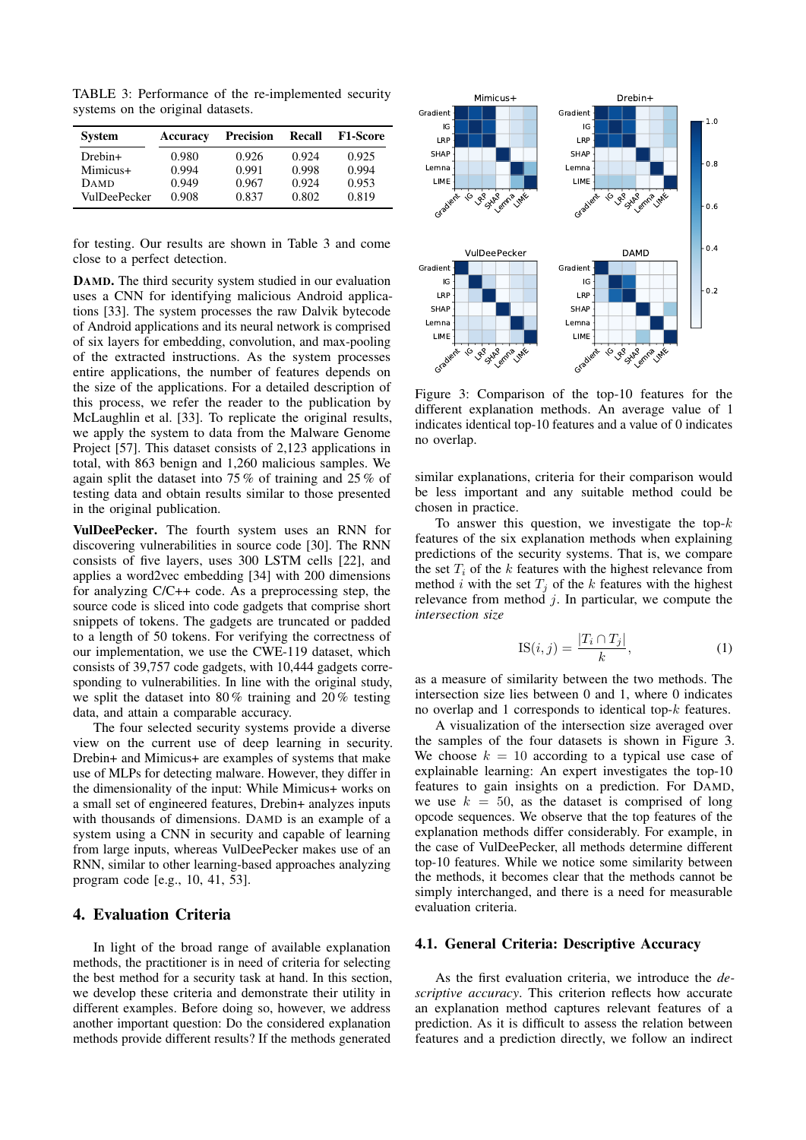<span id="page-4-1"></span>TABLE 3: Performance of the re-implemented security systems on the original datasets.

| <b>System</b>       | Accuracy | <b>Precision</b> | <b>Recall</b> | <b>F1-Score</b> |
|---------------------|----------|------------------|---------------|-----------------|
| $D$ rebin+          | 0.980    | 0.926            | 0.924         | 0.925           |
| Mimicus+            | 0.994    | 0.991            | 0.998         | 0.994           |
| <b>DAMD</b>         | 0.949    | 0.967            | 0.924         | 0.953           |
| <b>VulDeePecker</b> | 0.908    | 0.837            | 0.802         | 0.819           |

for testing. Our results are shown in Table [3](#page-4-1) and come close to a perfect detection.

<span id="page-4-6"></span>DAMD. The third security system studied in our evaluation uses a CNN for identifying malicious Android applications [\[33\]](#page-14-0). The system processes the raw Dalvik bytecode of Android applications and its neural network is comprised of six layers for embedding, convolution, and max-pooling of the extracted instructions. As the system processes entire applications, the number of features depends on the size of the applications. For a detailed description of this process, we refer the reader to the publication by McLaughlin et al. [\[33\]](#page-14-0). To replicate the original results, we apply the system to data from the Malware Genome Project [\[57\]](#page-14-21). This dataset consists of 2,123 applications in total, with 863 benign and 1,260 malicious samples. We again split the dataset into 75 % of training and 25 % of testing data and obtain results similar to those presented in the original publication.

VulDeePecker. The fourth system uses an RNN for discovering vulnerabilities in source code [\[30\]](#page-14-3). The RNN consists of five layers, uses 300 LSTM cells [\[22\]](#page-13-12), and applies a word2vec embedding [\[34\]](#page-14-22) with 200 dimensions for analyzing C/C++ code. As a preprocessing step, the source code is sliced into code gadgets that comprise short snippets of tokens. The gadgets are truncated or padded to a length of 50 tokens. For verifying the correctness of our implementation, we use the CWE-119 dataset, which consists of 39,757 code gadgets, with 10,444 gadgets corresponding to vulnerabilities. In line with the original study, we split the dataset into 80 % training and 20 % testing data, and attain a comparable accuracy.

The four selected security systems provide a diverse view on the current use of deep learning in security. Drebin+ and Mimicus+ are examples of systems that make use of MLPs for detecting malware. However, they differ in the dimensionality of the input: While Mimicus+ works on a small set of engineered features, Drebin+ analyzes inputs with thousands of dimensions. DAMD is an example of a system using a CNN in security and capable of learning from large inputs, whereas VulDeePecker makes use of an RNN, similar to other learning-based approaches analyzing program code [e.g., [10,](#page-13-2) [41,](#page-14-1) [53\]](#page-14-2).

### <span id="page-4-0"></span>4. Evaluation Criteria

In light of the broad range of available explanation methods, the practitioner is in need of criteria for selecting the best method for a security task at hand. In this section, we develop these criteria and demonstrate their utility in different examples. Before doing so, however, we address another important question: Do the considered explanation methods provide different results? If the methods generated

<span id="page-4-2"></span>

<span id="page-4-5"></span>Figure 3: Comparison of the top-10 features for the different explanation methods. An average value of 1 indicates identical top-10 features and a value of 0 indicates no overlap.

similar explanations, criteria for their comparison would be less important and any suitable method could be chosen in practice.

To answer this question, we investigate the top- $k$ features of the six explanation methods when explaining predictions of the security systems. That is, we compare the set  $T_i$  of the k features with the highest relevance from method i with the set  $T_i$  of the k features with the highest relevance from method  $j$ . In particular, we compute the *intersection size*

<span id="page-4-4"></span>
$$
IS(i,j) = \frac{|T_i \cap T_j|}{k},\tag{1}
$$

as a measure of similarity between the two methods. The intersection size lies between 0 and 1, where 0 indicates no overlap and 1 corresponds to identical top-k features.

A visualization of the intersection size averaged over the samples of the four datasets is shown in Figure [3.](#page-4-2) We choose  $k = 10$  according to a typical use case of explainable learning: An expert investigates the top-10 features to gain insights on a prediction. For DAMD, we use  $k = 50$ , as the dataset is comprised of long opcode sequences. We observe that the top features of the explanation methods differ considerably. For example, in the case of VulDeePecker, all methods determine different top-10 features. While we notice some similarity between the methods, it becomes clear that the methods cannot be simply interchanged, and there is a need for measurable evaluation criteria.

### <span id="page-4-3"></span>4.1. General Criteria: Descriptive Accuracy

As the first evaluation criteria, we introduce the *descriptive accuracy*. This criterion reflects how accurate an explanation method captures relevant features of a prediction. As it is difficult to assess the relation between features and a prediction directly, we follow an indirect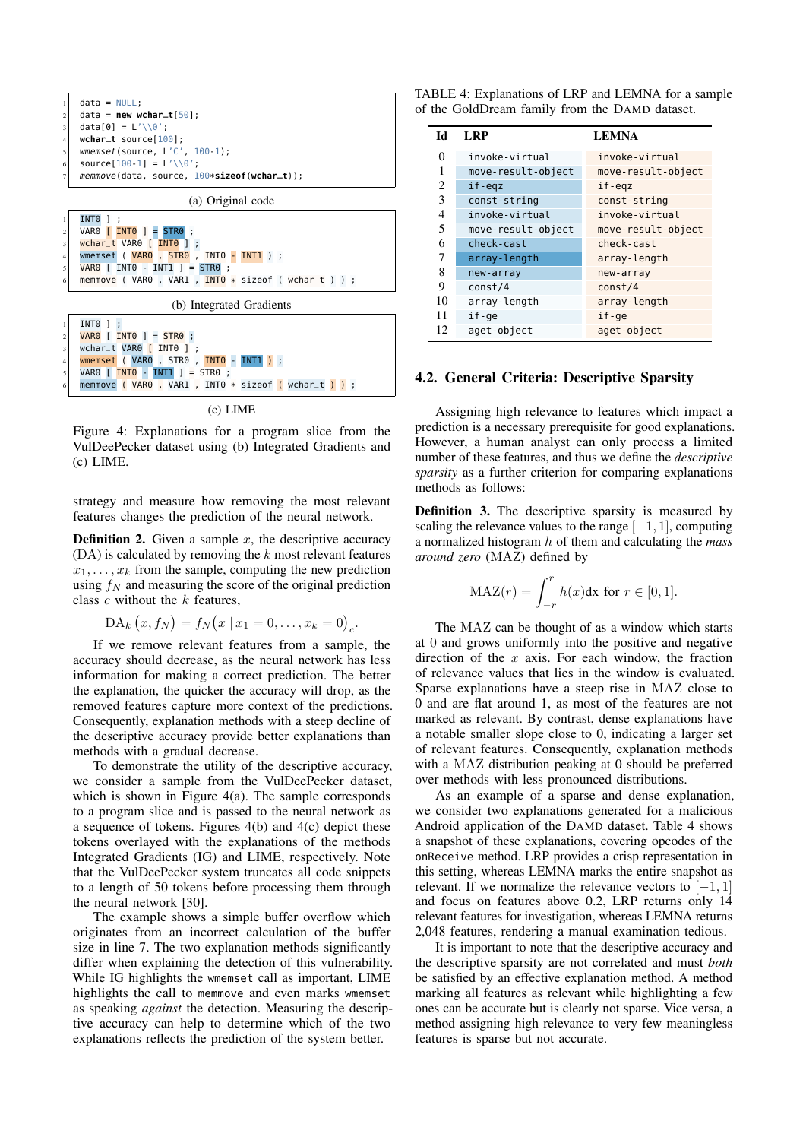<span id="page-5-0"></span>

(c) LIME

memmove ( VAR0 , VAR1 , INT0  $*$  sizeof ( wchar  $t$  ) ) ;

Figure 4: Explanations for a program slice from the VulDeePecker dataset using (b) Integrated Gradients and (c) LIME.

strategy and measure how removing the most relevant features changes the prediction of the neural network.

**Definition 2.** Given a sample  $x$ , the descriptive accuracy  $(DA)$  is calculated by removing the  $k$  most relevant features  $x_1, \ldots, x_k$  from the sample, computing the new prediction using  $f_N$  and measuring the score of the original prediction class  $c$  without the  $k$  features,

$$
DA_k(x, f_N) = f_N(x | x_1 = 0, ..., x_k = 0)_c.
$$

If we remove relevant features from a sample, the accuracy should decrease, as the neural network has less information for making a correct prediction. The better the explanation, the quicker the accuracy will drop, as the removed features capture more context of the predictions. Consequently, explanation methods with a steep decline of the descriptive accuracy provide better explanations than methods with a gradual decrease.

To demonstrate the utility of the descriptive accuracy, we consider a sample from the VulDeePecker dataset, which is shown in Figure [4\(](#page-5-0)a). The sample corresponds to a program slice and is passed to the neural network as a sequence of tokens. Figures [4\(](#page-5-0)b) and [4\(](#page-5-0)c) depict these tokens overlayed with the explanations of the methods Integrated Gradients (IG) and LIME, respectively. Note that the VulDeePecker system truncates all code snippets to a length of 50 tokens before processing them through the neural network [\[30\]](#page-14-3).

The example shows a simple buffer overflow which originates from an incorrect calculation of the buffer size in line 7. The two explanation methods significantly differ when explaining the detection of this vulnerability. While IG highlights the wmemset call as important, LIME highlights the call to memmove and even marks wmemset as speaking *against* the detection. Measuring the descriptive accuracy can help to determine which of the two explanations reflects the prediction of the system better.

<span id="page-5-1"></span>

| TABLE 4: Explanations of LRP and LEMNA for a sample |  |  |  |
|-----------------------------------------------------|--|--|--|
| of the GoldDream family from the DAMD dataset.      |  |  |  |

| Ы  | <b>LRP</b>         | <b>LEMNA</b>       |
|----|--------------------|--------------------|
| 0  | invoke-virtual     | invoke-virtual     |
|    | move-result-object | move-result-object |
| 2  | if-egz             | if-egz             |
| 3  | const-string       | const-string       |
| 4  | invoke-virtual     | invoke-virtual     |
| 5  | move-result-object | move-result-object |
| 6  | check-cast         | check-cast         |
| 7  | array-length       | array-length       |
| 8  | new-array          | new-array          |
| 9  | const/4            | const/4            |
| 10 | array-length       | array-length       |
| 11 | if-ge              | if-ge              |
| 12 | aget-object        | aget-object        |

### <span id="page-5-2"></span>4.2. General Criteria: Descriptive Sparsity

Assigning high relevance to features which impact a prediction is a necessary prerequisite for good explanations. However, a human analyst can only process a limited number of these features, and thus we define the *descriptive sparsity* as a further criterion for comparing explanations methods as follows:

Definition 3. The descriptive sparsity is measured by scaling the relevance values to the range  $[-1, 1]$ , computing a normalized histogram h of them and calculating the *mass around zero* (MAZ) defined by

$$
\text{MAZ}(r) = \int_{-r}^{r} h(x) \text{dx for } r \in [0, 1].
$$

The MAZ can be thought of as a window which starts at 0 and grows uniformly into the positive and negative direction of the  $x$  axis. For each window, the fraction of relevance values that lies in the window is evaluated. Sparse explanations have a steep rise in MAZ close to 0 and are flat around 1, as most of the features are not marked as relevant. By contrast, dense explanations have a notable smaller slope close to 0, indicating a larger set of relevant features. Consequently, explanation methods with a MAZ distribution peaking at 0 should be preferred over methods with less pronounced distributions.

As an example of a sparse and dense explanation, we consider two explanations generated for a malicious Android application of the DAMD dataset. Table [4](#page-5-1) shows a snapshot of these explanations, covering opcodes of the onReceive method. LRP provides a crisp representation in this setting, whereas LEMNA marks the entire snapshot as relevant. If we normalize the relevance vectors to  $[-1, 1]$ and focus on features above 0.2, LRP returns only 14 relevant features for investigation, whereas LEMNA returns 2,048 features, rendering a manual examination tedious.

It is important to note that the descriptive accuracy and the descriptive sparsity are not correlated and must *both* be satisfied by an effective explanation method. A method marking all features as relevant while highlighting a few ones can be accurate but is clearly not sparse. Vice versa, a method assigning high relevance to very few meaningless features is sparse but not accurate.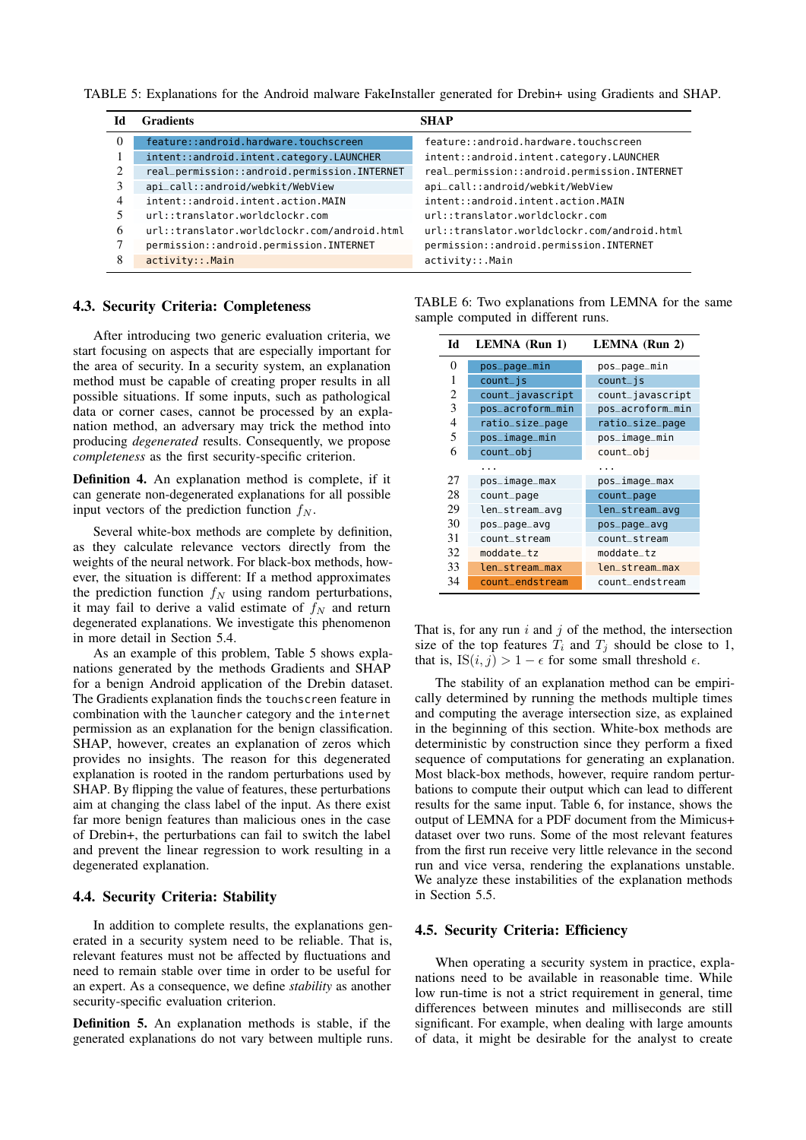<span id="page-6-0"></span>TABLE 5: Explanations for the Android malware FakeInstaller generated for Drebin+ using Gradients and SHAP.

| 1d       | <b>Gradients</b>                             | <b>SHAP</b>                                  |
|----------|----------------------------------------------|----------------------------------------------|
| $\Omega$ | feature::android.hardware.touchscreen        | feature::android.hardware.touchscreen        |
|          | intent::android.intent.category.LAUNCHER     | intent::android.intent.category.LAUNCHER     |
| 2        | real_permission::android.permission.INTERNET | real_permission::android.permission.INTERNET |
|          | api_call::android/webkit/WebView             | api_call::android/webkit/WebView             |
| 4        | intent::android.intent.action.MAIN           | intent::android.intent.action.MAIN           |
|          | url::translator.worldclockr.com              | url::translator.worldclockr.com              |
| 6        | url::translator.worldclockr.com/android.html | url::translator.worldclockr.com/android.html |
|          | permission::android.permission.INTERNET      | permission::android.permission.INTERNET      |
| 8        | activity::.Main                              | activity::.Main                              |

### <span id="page-6-2"></span>4.3. Security Criteria: Completeness

After introducing two generic evaluation criteria, we start focusing on aspects that are especially important for the area of security. In a security system, an explanation method must be capable of creating proper results in all possible situations. If some inputs, such as pathological data or corner cases, cannot be processed by an explanation method, an adversary may trick the method into producing *degenerated* results. Consequently, we propose *completeness* as the first security-specific criterion.

Definition 4. An explanation method is complete, if it can generate non-degenerated explanations for all possible input vectors of the prediction function  $f_N$ .

Several white-box methods are complete by definition, as they calculate relevance vectors directly from the weights of the neural network. For black-box methods, however, the situation is different: If a method approximates the prediction function  $f_N$  using random perturbations, it may fail to derive a valid estimate of  $f_N$  and return degenerated explanations. We investigate this phenomenon in more detail in Section [5.4.](#page-8-0)

As an example of this problem, Table [5](#page-6-0) shows explanations generated by the methods Gradients and SHAP for a benign Android application of the Drebin dataset. The Gradients explanation finds the touchscreen feature in combination with the launcher category and the internet permission as an explanation for the benign classification. SHAP, however, creates an explanation of zeros which provides no insights. The reason for this degenerated explanation is rooted in the random perturbations used by SHAP. By flipping the value of features, these perturbations aim at changing the class label of the input. As there exist far more benign features than malicious ones in the case of Drebin+, the perturbations can fail to switch the label and prevent the linear regression to work resulting in a degenerated explanation.

### 4.4. Security Criteria: Stability

In addition to complete results, the explanations generated in a security system need to be reliable. That is, relevant features must not be affected by fluctuations and need to remain stable over time in order to be useful for an expert. As a consequence, we define *stability* as another security-specific evaluation criterion.

Definition 5. An explanation methods is stable, if the generated explanations do not vary between multiple runs.

<span id="page-6-1"></span>TABLE 6: Two explanations from LEMNA for the same sample computed in different runs.

| Id | <b>LEMNA</b> (Run 1) | LEMNA (Run 2)    |
|----|----------------------|------------------|
| 0  | pos_page_min         | pos_page_min     |
| 1  | $count$ js           | $count$ is       |
| 2  | count_javascript     | count_javascript |
| 3  | pos_acroform_min     | pos_acroform_min |
| 4  | ratio_size_page      | ratio_size_page  |
| 5  | pos_image_min        | pos_image_min    |
| 6  | count_obj            | count_obj        |
|    |                      |                  |
| 27 | pos_image_max        | pos_image_max    |
| 28 | count_page           | count_page       |
| 29 | len_stream_avg       | len_stream_avq   |
| 30 | pos_page_avg         | pos_page_avg     |
| 31 | count_stream         | count_stream     |
| 32 | moddate tz           | moddate_tz       |
| 33 | len_stream_max       | len_stream_max   |
| 34 | count_endstream      | count_endstream  |

That is, for any run  $i$  and  $j$  of the method, the intersection size of the top features  $T_i$  and  $T_j$  should be close to 1, that is,  $IS(i, j) > 1 - \epsilon$  for some small threshold  $\epsilon$ .

The stability of an explanation method can be empirically determined by running the methods multiple times and computing the average intersection size, as explained in the beginning of this section. White-box methods are deterministic by construction since they perform a fixed sequence of computations for generating an explanation. Most black-box methods, however, require random perturbations to compute their output which can lead to different results for the same input. Table [6,](#page-6-1) for instance, shows the output of LEMNA for a PDF document from the Mimicus+ dataset over two runs. Some of the most relevant features from the first run receive very little relevance in the second run and vice versa, rendering the explanations unstable. We analyze these instabilities of the explanation methods in Section [5.5.](#page-9-0)

### 4.5. Security Criteria: Efficiency

When operating a security system in practice, explanations need to be available in reasonable time. While low run-time is not a strict requirement in general, time differences between minutes and milliseconds are still significant. For example, when dealing with large amounts of data, it might be desirable for the analyst to create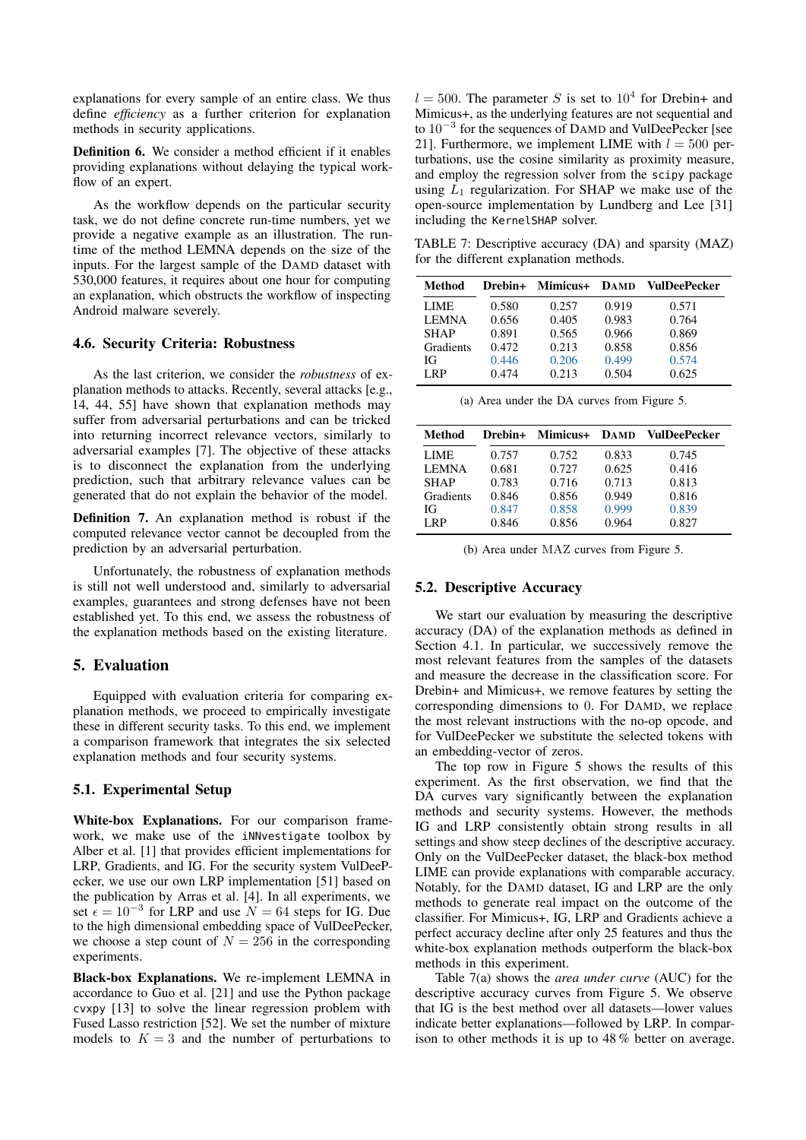explanations for every sample of an entire class. We thus define *efficiency* as a further criterion for explanation methods in security applications.

Definition 6. We consider a method efficient if it enables providing explanations without delaying the typical workflow of an expert.

As the workflow depends on the particular security task, we do not define concrete run-time numbers, yet we provide a negative example as an illustration. The runtime of the method LEMNA depends on the size of the inputs. For the largest sample of the DAMD dataset with 530,000 features, it requires about one hour for computing an explanation, which obstructs the workflow of inspecting Android malware severely.

### 4.6. Security Criteria: Robustness

As the last criterion, we consider the *robustness* of explanation methods to attacks. Recently, several attacks [e.g., [14,](#page-13-7) [44,](#page-14-23) [55\]](#page-14-7) have shown that explanation methods may suffer from adversarial perturbations and can be tricked into returning incorrect relevance vectors, similarly to adversarial examples [\[7\]](#page-13-3). The objective of these attacks is to disconnect the explanation from the underlying prediction, such that arbitrary relevance values can be generated that do not explain the behavior of the model.

Definition 7. An explanation method is robust if the computed relevance vector cannot be decoupled from the prediction by an adversarial perturbation.

Unfortunately, the robustness of explanation methods is still not well understood and, similarly to adversarial examples, guarantees and strong defenses have not been established yet. To this end, we assess the robustness of the explanation methods based on the existing literature.

### <span id="page-7-0"></span>5. Evaluation

Equipped with evaluation criteria for comparing explanation methods, we proceed to empirically investigate these in different security tasks. To this end, we implement a comparison framework that integrates the six selected explanation methods and four security systems.

### 5.1. Experimental Setup

White-box Explanations. For our comparison framework, we make use of the iNNvestigate toolbox by Alber et al. [\[1\]](#page-13-21) that provides efficient implementations for LRP, Gradients, and IG. For the security system VulDeePecker, we use our own LRP implementation [\[51\]](#page-14-24) based on the publication by Arras et al. [\[4\]](#page-13-5). In all experiments, we set  $\epsilon = 10^{-3}$  for LRP and use  $N = 64$  steps for IG. Due to the high dimensional embedding space of VulDeePecker, we choose a step count of  $N = 256$  in the corresponding experiments.

Black-box Explanations. We re-implement LEMNA in accordance to Guo et al. [\[21\]](#page-13-6) and use the Python package cvxpy [\[13\]](#page-13-22) to solve the linear regression problem with Fused Lasso restriction [\[52\]](#page-14-25). We set the number of mixture models to  $K = 3$  and the number of perturbations to

 $l = 500$ . The parameter S is set to  $10<sup>4</sup>$  for Drebin+ and Mimicus+, as the underlying features are not sequential and to 10−<sup>3</sup> for the sequences of DAMD and VulDeePecker [see [21\]](#page-13-6). Furthermore, we implement LIME with  $l = 500$  perturbations, use the cosine similarity as proximity measure, and employ the regression solver from the scipy package using  $L_1$  regularization. For SHAP we make use of the open-source implementation by Lundberg and Lee [\[31\]](#page-14-18) including the KernelSHAP solver.

<span id="page-7-1"></span>TABLE 7: Descriptive accuracy (DA) and sparsity (MAZ) for the different explanation methods.

| Method       | Drebin+ | Mimicus+ DAMD |       | VulDeePecker |
|--------------|---------|---------------|-------|--------------|
| LIME.        | 0.580   | 0.257         | 0.919 | 0.571        |
| <b>LEMNA</b> | 0.656   | 0.405         | 0.983 | 0.764        |
| <b>SHAP</b>  | 0.891   | 0.565         | 0.966 | 0.869        |
| Gradients    | 0.472   | 0.213         | 0.858 | 0.856        |
| ЮŦ           | 0.446   | 0.206         | 0.499 | 0.574        |
| LRP          | 0.474   | 0.213         | 0.504 | 0.625        |

(a) Area under the DA curves from Figure [5.](#page-8-1)

| Method       | Drebin+ | Mimicus+ DAMD |       | <b>VulDeePecker</b> |
|--------------|---------|---------------|-------|---------------------|
| <b>LIME</b>  | 0.757   | 0.752         | 0.833 | 0.745               |
| <b>LEMNA</b> | 0.681   | 0.727         | 0.625 | 0.416               |
| <b>SHAP</b>  | 0.783   | 0.716         | 0.713 | 0.813               |
| Gradients    | 0.846   | 0.856         | 0.949 | 0.816               |
| Юf           | 0.847   | 0.858         | 0.999 | 0.839               |
| LRP          | 0.846   | 0.856         | 0.964 | 0.827               |

(b) Area under MAZ curves from Figure [5.](#page-8-1)

### 5.2. Descriptive Accuracy

We start our evaluation by measuring the descriptive accuracy (DA) of the explanation methods as defined in Section [4.1.](#page-4-3) In particular, we successively remove the most relevant features from the samples of the datasets and measure the decrease in the classification score. For Drebin+ and Mimicus+, we remove features by setting the corresponding dimensions to 0. For DAMD, we replace the most relevant instructions with the no-op opcode, and for VulDeePecker we substitute the selected tokens with an embedding-vector of zeros.

<span id="page-7-2"></span>The top row in Figure [5](#page-8-1) shows the results of this experiment. As the first observation, we find that the DA curves vary significantly between the explanation methods and security systems. However, the methods IG and LRP consistently obtain strong results in all settings and show steep declines of the descriptive accuracy. Only on the VulDeePecker dataset, the black-box method LIME can provide explanations with comparable accuracy. Notably, for the DAMD dataset, IG and LRP are the only methods to generate real impact on the outcome of the classifier. For Mimicus+, IG, LRP and Gradients achieve a perfect accuracy decline after only 25 features and thus the white-box explanation methods outperform the black-box methods in this experiment.

Table [7\(](#page-7-1)a) shows the *area under curve* (AUC) for the descriptive accuracy curves from Figure [5.](#page-8-1) We observe that IG is the best method over all datasets—lower values indicate better explanations—followed by LRP. In comparison to other methods it is up to 48 % better on average.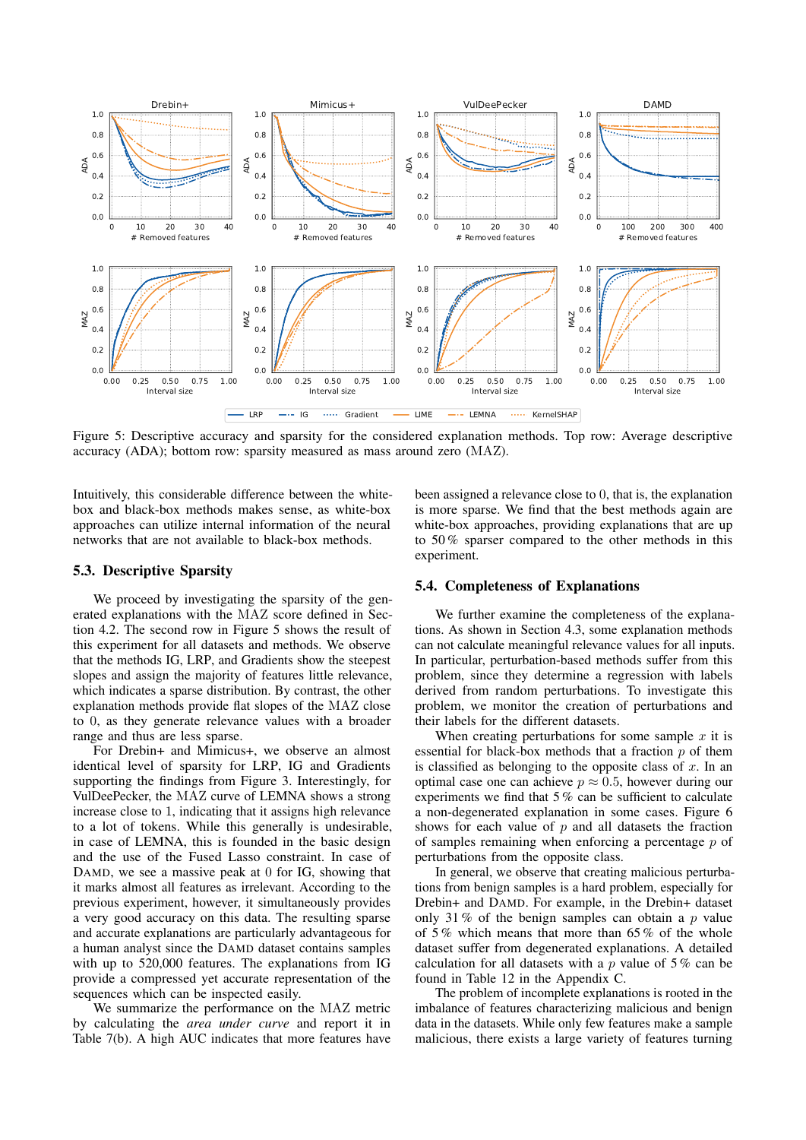<span id="page-8-1"></span>

Figure 5: Descriptive accuracy and sparsity for the considered explanation methods. Top row: Average descriptive accuracy (ADA); bottom row: sparsity measured as mass around zero (MAZ).

Intuitively, this considerable difference between the whitebox and black-box methods makes sense, as white-box approaches can utilize internal information of the neural networks that are not available to black-box methods.

### <span id="page-8-2"></span>5.3. Descriptive Sparsity

We proceed by investigating the sparsity of the generated explanations with the MAZ score defined in Section [4.2.](#page-5-2) The second row in Figure [5](#page-8-1) shows the result of this experiment for all datasets and methods. We observe that the methods IG, LRP, and Gradients show the steepest slopes and assign the majority of features little relevance, which indicates a sparse distribution. By contrast, the other explanation methods provide flat slopes of the MAZ close to 0, as they generate relevance values with a broader range and thus are less sparse.

For Drebin+ and Mimicus+, we observe an almost identical level of sparsity for LRP, IG and Gradients supporting the findings from Figure [3.](#page-4-2) Interestingly, for VulDeePecker, the MAZ curve of LEMNA shows a strong increase close to 1, indicating that it assigns high relevance to a lot of tokens. While this generally is undesirable, in case of LEMNA, this is founded in the basic design and the use of the Fused Lasso constraint. In case of DAMD, we see a massive peak at 0 for IG, showing that it marks almost all features as irrelevant. According to the previous experiment, however, it simultaneously provides a very good accuracy on this data. The resulting sparse and accurate explanations are particularly advantageous for a human analyst since the DAMD dataset contains samples with up to 520,000 features. The explanations from IG provide a compressed yet accurate representation of the sequences which can be inspected easily.

We summarize the performance on the MAZ metric by calculating the *area under curve* and report it in Table [7\(](#page-7-1)b). A high AUC indicates that more features have

been assigned a relevance close to 0, that is, the explanation is more sparse. We find that the best methods again are white-box approaches, providing explanations that are up to 50 % sparser compared to the other methods in this experiment.

### <span id="page-8-0"></span>5.4. Completeness of Explanations

We further examine the completeness of the explanations. As shown in Section [4.3,](#page-6-2) some explanation methods can not calculate meaningful relevance values for all inputs. In particular, perturbation-based methods suffer from this problem, since they determine a regression with labels derived from random perturbations. To investigate this problem, we monitor the creation of perturbations and their labels for the different datasets.

When creating perturbations for some sample  $x$  it is essential for black-box methods that a fraction  $p$  of them is classified as belonging to the opposite class of  $x$ . In an optimal case one can achieve  $p \approx 0.5$ , however during our experiments we find that 5 % can be sufficient to calculate a non-degenerated explanation in some cases. Figure [6](#page-9-1) shows for each value of  $p$  and all datasets the fraction of samples remaining when enforcing a percentage p of perturbations from the opposite class.

In general, we observe that creating malicious perturbations from benign samples is a hard problem, especially for Drebin+ and DAMD. For example, in the Drebin+ dataset only 31 % of the benign samples can obtain a  $p$  value of 5 % which means that more than 65 % of the whole dataset suffer from degenerated explanations. A detailed calculation for all datasets with a  $p$  value of 5% can be found in Table [12](#page-16-0) in the Appendix [C.](#page-16-1)

The problem of incomplete explanations is rooted in the imbalance of features characterizing malicious and benign data in the datasets. While only few features make a sample malicious, there exists a large variety of features turning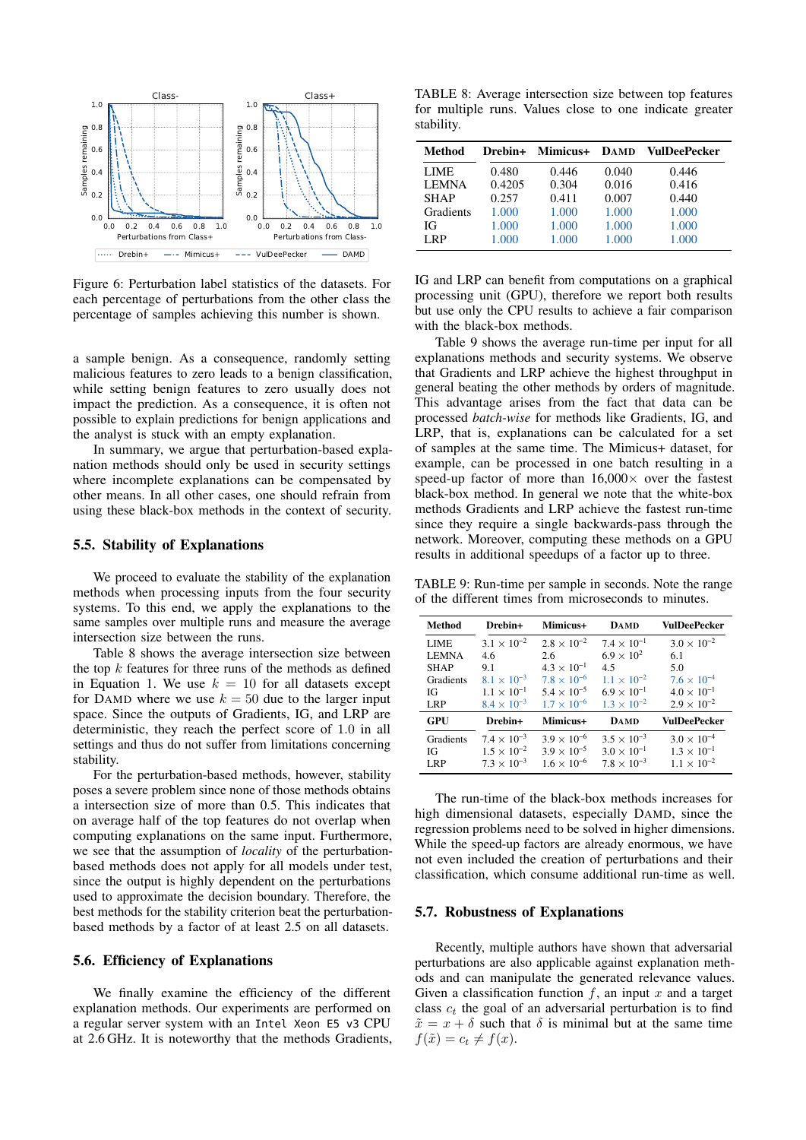<span id="page-9-1"></span>

Figure 6: Perturbation label statistics of the datasets. For each percentage of perturbations from the other class the percentage of samples achieving this number is shown.

a sample benign. As a consequence, randomly setting malicious features to zero leads to a benign classification, while setting benign features to zero usually does not impact the prediction. As a consequence, it is often not possible to explain predictions for benign applications and the analyst is stuck with an empty explanation.

In summary, we argue that perturbation-based explanation methods should only be used in security settings where incomplete explanations can be compensated by other means. In all other cases, one should refrain from using these black-box methods in the context of security.

### <span id="page-9-0"></span>5.5. Stability of Explanations

We proceed to evaluate the stability of the explanation methods when processing inputs from the four security systems. To this end, we apply the explanations to the same samples over multiple runs and measure the average intersection size between the runs.

Table [8](#page-9-2) shows the average intersection size between the top  $k$  features for three runs of the methods as defined in Equation [1.](#page-4-4) We use  $k = 10$  for all datasets except for DAMD where we use  $k = 50$  due to the larger input space. Since the outputs of Gradients, IG, and LRP are deterministic, they reach the perfect score of 1.0 in all settings and thus do not suffer from limitations concerning stability.

For the perturbation-based methods, however, stability poses a severe problem since none of those methods obtains a intersection size of more than 0.5. This indicates that on average half of the top features do not overlap when computing explanations on the same input. Furthermore, we see that the assumption of *locality* of the perturbationbased methods does not apply for all models under test, since the output is highly dependent on the perturbations used to approximate the decision boundary. Therefore, the best methods for the stability criterion beat the perturbationbased methods by a factor of at least 2.5 on all datasets.

### 5.6. Efficiency of Explanations

We finally examine the efficiency of the different explanation methods. Our experiments are performed on a regular server system with an Intel Xeon E5 v3 CPU at 2.6 GHz. It is noteworthy that the methods Gradients,

<span id="page-9-2"></span>TABLE 8: Average intersection size between top features for multiple runs. Values close to one indicate greater stability.

| Method       |        | Drebin+ Mimicus+ DAMD |       | VulDeePecker |
|--------------|--------|-----------------------|-------|--------------|
| LIME.        | 0.480  | 0.446                 | 0.040 | 0.446        |
| <b>LEMNA</b> | 0.4205 | 0.304                 | 0.016 | 0.416        |
| <b>SHAP</b>  | 0.257  | 0.411                 | 0.007 | 0.440        |
| Gradients    | 1.000  | 1.000                 | 1.000 | 1.000        |
| ЮŦ           | 1.000  | 1.000                 | 1.000 | 1.000        |
| LRP          | 1.000  | 1.000                 | 1.000 | 1.000        |

IG and LRP can benefit from computations on a graphical processing unit (GPU), therefore we report both results but use only the CPU results to achieve a fair comparison with the black-box methods.

Table [9](#page-9-3) shows the average run-time per input for all explanations methods and security systems. We observe that Gradients and LRP achieve the highest throughput in general beating the other methods by orders of magnitude. This advantage arises from the fact that data can be processed *batch-wise* for methods like Gradients, IG, and LRP, that is, explanations can be calculated for a set of samples at the same time. The Mimicus+ dataset, for example, can be processed in one batch resulting in a speed-up factor of more than  $16,000\times$  over the fastest black-box method. In general we note that the white-box methods Gradients and LRP achieve the fastest run-time since they require a single backwards-pass through the network. Moreover, computing these methods on a GPU results in additional speedups of a factor up to three.

<span id="page-9-3"></span>TABLE 9: Run-time per sample in seconds. Note the range of the different times from microseconds to minutes.

| Method       | Drebin+              | Mimicus+             | <b>DAMD</b>          | VulDeePecker         |
|--------------|----------------------|----------------------|----------------------|----------------------|
| <b>LIME</b>  | $3.1 \times 10^{-2}$ | $2.8 \times 10^{-2}$ | $7.4 \times 10^{-1}$ | $3.0 \times 10^{-2}$ |
| <b>LEMNA</b> | 4.6                  | 2.6                  | $6.9 \times 10^{2}$  | 6.1                  |
| <b>SHAP</b>  | 9.1                  | $4.3 \times 10^{-1}$ | 45                   | 5.0                  |
| Gradients    | $8.1 \times 10^{-3}$ | $7.8 \times 10^{-6}$ | $1.1 \times 10^{-2}$ | $7.6 \times 10^{-4}$ |
| ЮŦ           | $1.1 \times 10^{-1}$ | $5.4 \times 10^{-5}$ | $6.9 \times 10^{-1}$ | $4.0 \times 10^{-1}$ |
| <b>LRP</b>   | $8.4 \times 10^{-3}$ | $1.7 \times 10^{-6}$ | $1.3 \times 10^{-2}$ | $2.9 \times 10^{-2}$ |
| GPU          | Drebin+              | Mimicus+             | <b>DAMD</b>          | VulDeePecker         |
| Gradients    | $7.4 \times 10^{-3}$ | $3.9 \times 10^{-6}$ | $3.5 \times 10^{-3}$ | $3.0 \times 10^{-4}$ |
| ЮŦ           | $1.5 \times 10^{-2}$ | $3.9 \times 10^{-5}$ | $3.0 \times 10^{-1}$ | $1.3 \times 10^{-1}$ |
| LRP          | $7.3 \times 10^{-3}$ | $1.6 \times 10^{-6}$ | $7.8 \times 10^{-3}$ | $1.1 \times 10^{-2}$ |

The run-time of the black-box methods increases for high dimensional datasets, especially DAMD, since the regression problems need to be solved in higher dimensions. While the speed-up factors are already enormous, we have not even included the creation of perturbations and their classification, which consume additional run-time as well.

### 5.7. Robustness of Explanations

Recently, multiple authors have shown that adversarial perturbations are also applicable against explanation methods and can manipulate the generated relevance values. Given a classification function  $f$ , an input  $x$  and a target class  $c_t$  the goal of an adversarial perturbation is to find  $\tilde{x} = x + \delta$  such that  $\delta$  is minimal but at the same time  $f(\tilde{x}) = c_t \neq f(x).$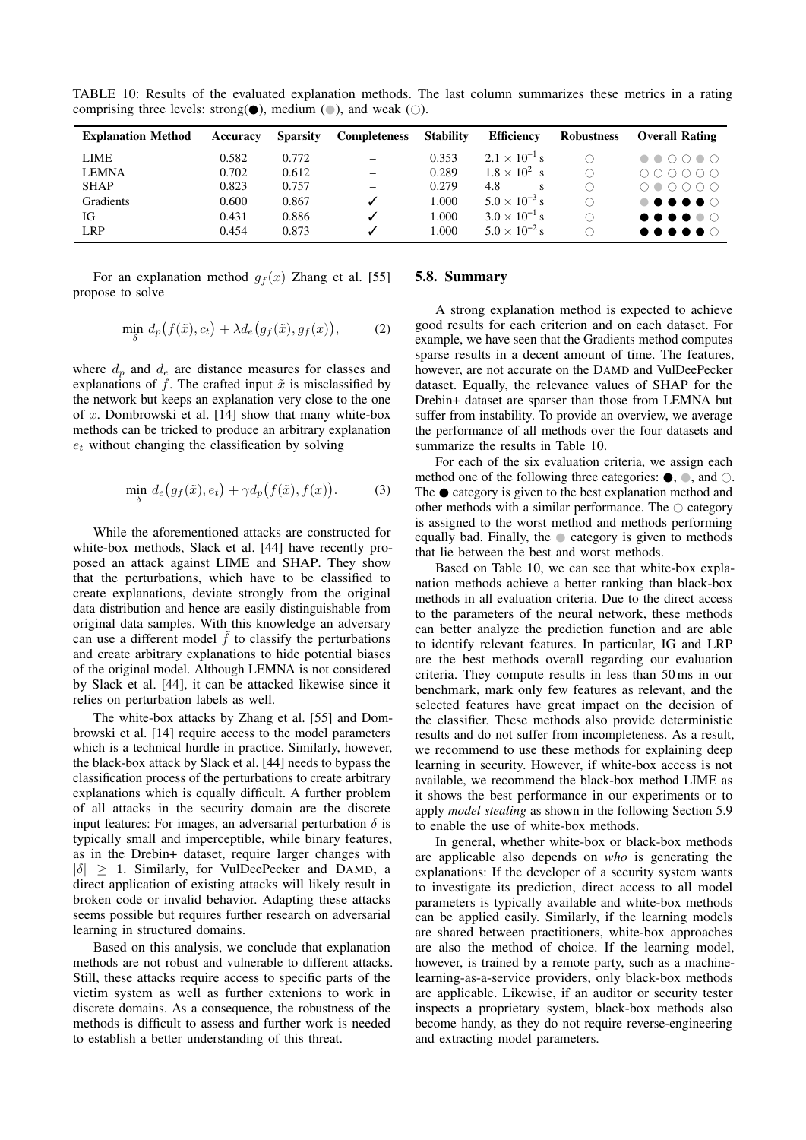| <b>Explanation Method</b> | Accuracy | <b>Sparsity</b> | <b>Completeness</b> | <b>Stability</b> | <b>Efficiency</b>      | <b>Robustness</b> | <b>Overall Rating</b>                                                                                      |
|---------------------------|----------|-----------------|---------------------|------------------|------------------------|-------------------|------------------------------------------------------------------------------------------------------------|
| <b>LIME</b>               | 0.582    | 0.772           | -                   | 0.353            | $2.1 \times 10^{-1}$ s |                   | $\begin{array}{ccccccccccccccccc} \bullet & \bullet & \circ & \circ & \circ & \bullet & \circ \end{array}$ |
| <b>LEMNA</b>              | 0.702    | 0.612           |                     | 0.289            | $1.8 \times 10^{2}$ s  |                   | $\begin{array}{ccc} \circ & \circ & \circ & \circ & \circ & \circ \end{array}$                             |
| <b>SHAP</b>               | 0.823    | 0.757           |                     | 0.279            | 4.8                    |                   | $\begin{array}{ccc}\n0 & 0 & 0 & 0 & 0 \\ 0 & 0 & 0 & 0 & 0\n\end{array}$                                  |
| Gradients                 | 0.600    | 0.867           |                     | 1.000            | $5.0 \times 10^{-3}$ s |                   |                                                                                                            |
| IG                        | 0.431    | 0.886           |                     | 1.000            | $3.0 \times 10^{-1}$ s |                   | $\bullet\bullet\bullet\bullet\bullet\circ$                                                                 |
| <b>LRP</b>                | 0.454    | 0.873           |                     | 1.000            | $5.0 \times 10^{-2}$ s |                   | $\bullet\bullet\bullet\bullet\bullet\circ$                                                                 |

<span id="page-10-0"></span>TABLE 10: Results of the evaluated explanation methods. The last column summarizes these metrics in a rating comprising three levels: strong( $\bullet$ ), medium ( $\circ$ ), and weak ( $\circ$ ).

For an explanation method  $g_f(x)$  Zhang et al. [\[55\]](#page-14-7) propose to solve

$$
\min_{\delta} d_p(f(\tilde{x}), c_t) + \lambda d_e(g_f(\tilde{x}), g_f(x)), \tag{2}
$$

where  $d_p$  and  $d_e$  are distance measures for classes and explanations of f. The crafted input  $\tilde{x}$  is misclassified by the network but keeps an explanation very close to the one of x. Dombrowski et al. [\[14\]](#page-13-7) show that many white-box methods can be tricked to produce an arbitrary explanation  $e_t$  without changing the classification by solving

$$
\min_{\delta} d_e(g_f(\tilde{x}), e_t) + \gamma d_p(f(\tilde{x}), f(x)). \tag{3}
$$

While the aforementioned attacks are constructed for white-box methods, Slack et al. [\[44\]](#page-14-23) have recently proposed an attack against LIME and SHAP. They show that the perturbations, which have to be classified to create explanations, deviate strongly from the original data distribution and hence are easily distinguishable from original data samples. With this knowledge an adversary can use a different model  $\hat{f}$  to classify the perturbations and create arbitrary explanations to hide potential biases of the original model. Although LEMNA is not considered by Slack et al. [\[44\]](#page-14-23), it can be attacked likewise since it relies on perturbation labels as well.

The white-box attacks by Zhang et al. [\[55\]](#page-14-7) and Dombrowski et al. [\[14\]](#page-13-7) require access to the model parameters which is a technical hurdle in practice. Similarly, however, the black-box attack by Slack et al. [\[44\]](#page-14-23) needs to bypass the classification process of the perturbations to create arbitrary explanations which is equally difficult. A further problem of all attacks in the security domain are the discrete input features: For images, an adversarial perturbation  $\delta$  is typically small and imperceptible, while binary features, as in the Drebin+ dataset, require larger changes with  $|\delta|$  > 1. Similarly, for VulDeePecker and DAMD, a direct application of existing attacks will likely result in broken code or invalid behavior. Adapting these attacks seems possible but requires further research on adversarial learning in structured domains.

Based on this analysis, we conclude that explanation methods are not robust and vulnerable to different attacks. Still, these attacks require access to specific parts of the victim system as well as further extenions to work in discrete domains. As a consequence, the robustness of the methods is difficult to assess and further work is needed to establish a better understanding of this threat.

### 5.8. Summary

A strong explanation method is expected to achieve good results for each criterion and on each dataset. For example, we have seen that the Gradients method computes sparse results in a decent amount of time. The features, however, are not accurate on the DAMD and VulDeePecker dataset. Equally, the relevance values of SHAP for the Drebin+ dataset are sparser than those from LEMNA but suffer from instability. To provide an overview, we average the performance of all methods over the four datasets and summarize the results in Table [10.](#page-10-0)

For each of the six evaluation criteria, we assign each method one of the following three categories:  $\bullet$ ,  $\bullet$ , and  $\circ$ . The  $\bullet$  category is given to the best explanation method and other methods with a similar performance. The  $\circ$  category is assigned to the worst method and methods performing equally bad. Finally, the  $\bullet$  category is given to methods that lie between the best and worst methods.

Based on Table [10,](#page-10-0) we can see that white-box explanation methods achieve a better ranking than black-box methods in all evaluation criteria. Due to the direct access to the parameters of the neural network, these methods can better analyze the prediction function and are able to identify relevant features. In particular, IG and LRP are the best methods overall regarding our evaluation criteria. They compute results in less than 50 ms in our benchmark, mark only few features as relevant, and the selected features have great impact on the decision of the classifier. These methods also provide deterministic results and do not suffer from incompleteness. As a result, we recommend to use these methods for explaining deep learning in security. However, if white-box access is not available, we recommend the black-box method LIME as it shows the best performance in our experiments or to apply *model stealing* as shown in the following Section [5.9](#page-11-1) to enable the use of white-box methods.

In general, whether white-box or black-box methods are applicable also depends on *who* is generating the explanations: If the developer of a security system wants to investigate its prediction, direct access to all model parameters is typically available and white-box methods can be applied easily. Similarly, if the learning models are shared between practitioners, white-box approaches are also the method of choice. If the learning model, however, is trained by a remote party, such as a machinelearning-as-a-service providers, only black-box methods are applicable. Likewise, if an auditor or security tester inspects a proprietary system, black-box methods also become handy, as they do not require reverse-engineering and extracting model parameters.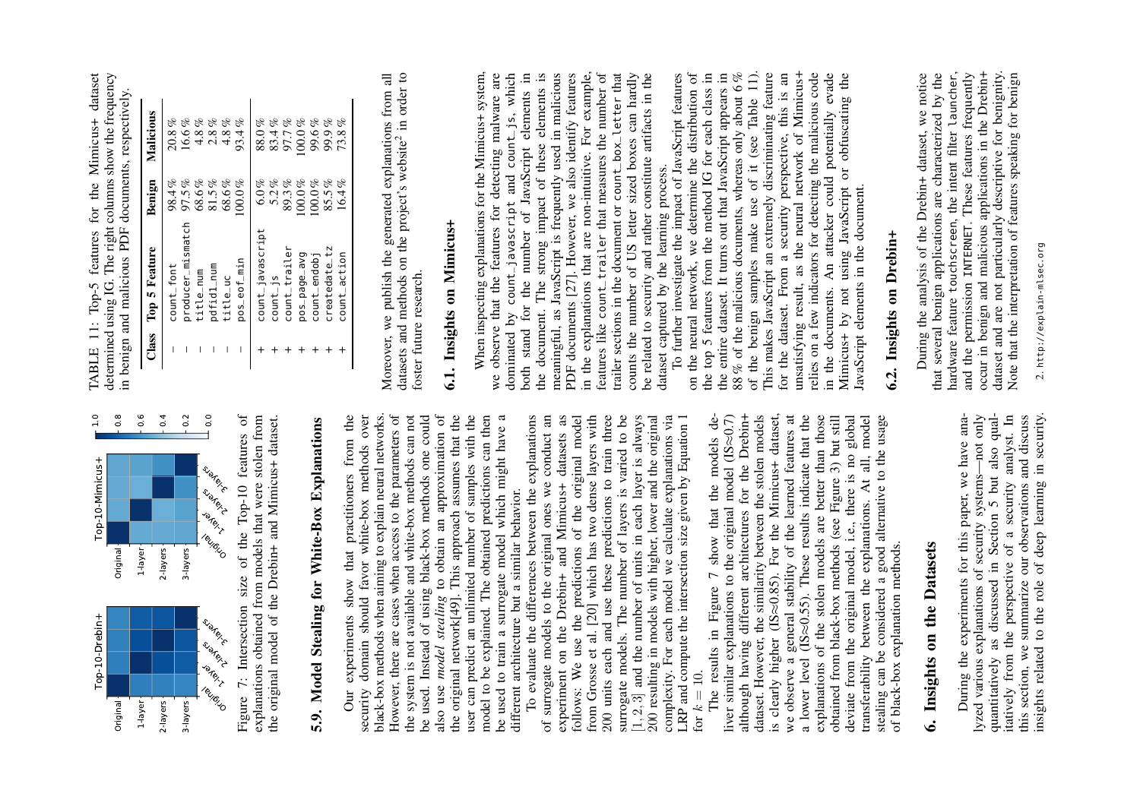<span id="page-11-4"></span><span id="page-11-2"></span><span id="page-11-1"></span><span id="page-11-0"></span>

Top-10 features of explanations obtained from models that were stolen from<br>the original model of the Drebin+ and Mimicus+ dataset. Figure 7: Intersection size of the Top-10 features of explanations obtained from models that were stolen from the original model of the Drebin+ and Mimicus+ dataset. of the 7: Intersection size Figure<sup>'</sup>

# 5.9. Model Stealing for White-Box Explanations 5.9. Model Stealing for White-Box Explanations

security domain should favor white-box methods over<br>black-box methods when aiming to explain neural networks. black-box methods when aiming to explain neural networks. However, there are cases when access to the parameters of also use *model stealing* to obtain an approximation of the original network $[49]$ . This approach assumes that the from the the system is not available and white-box methods can not be used. Instead of using black-box methods one could user can predict an unlimited number of samples with the model to be explained. The obtained predictions can then be used to train a surrogate model which might have a Our experiments show that practitioners from the security domain should favor white-box methods over However, there are cases when access to the parameters of the system is not available and white-box methods can not be used. Instead of using black-box methods one could also use *model stealing* to obtain an approximation of the original network[\[49\]](#page-14-26). This approach assumes that the user can predict an unlimited number of samples with the model to be explained. The obtained predictions can then be used to train a surrogate model which might have a show that practitioners different architecture but a similar behavior. different architecture but a similar behavior. Our experiments

and use these predictions to train three 200 resulting in models with higher, lower and the original complexity. For each model we calculate explanations via LRP and compute the intersection size given by Equation 1 for  $k = 10$ .<br>The results in Figure 7 show that To evaluate the differences between the explanations of surrogate models to the original ones we conduct an experiment on the Drebin+ and Mimicus+ datasets as follows: We use the predictions of the original model<br>from Grosse et al. [20] which has two dense layers with surrogate models. The number of layers is varied to be 2, 3] and the number of units in each layer is always LRP and compute the intersection size given by Equation [1](#page-4-5) To evaluate the differences between the explanations of surrogate models to the original ones we conduct an experiment on the Drebin+ and Mimicus+ datasets as follows: We use the predictions of the original model from Grosse et al. [\[20\]](#page-13-23) which has two dense layers with 200 units each and use these predictions to train three surrogate models. The number of layers is varied to be  $\left[1, 2, 3\right]$  and the number of units in each layer is always 200 resulting in models with higher, lower and the original complexity. For each model we calculate explanations via 200 units each

liver similar explanations to the original model (IS $\approx$ 0.7) although having different architectures for the Drebin+ dataset. However, the similarity between the stolen models is clearly higher (IS $\approx$ 0.85). For the Mimicu we observe a general stability of the learned features at a lower level  $(IS \approx 0.55)$ . These results indicate that the The results in Figure [7](#page-11-2) show that the models deliver similar explanations to the original model (IS≈0.7) although having different architectures for the Drebin+ is clearly higher (IS≈0.85). For the Mimicus+ dataset, explanations of the stolen models are better than those obtained from black-box methods (see Figure 3) but still deviate from the original model, i.e., there is no global<br>transferability between the explanations. At all, model dataset. However, the similarity between the stolen models we observe a general stability of the learned features at a lower level (IS≈0.55). These results indicate that the explanations of the stolen models are better than those obtained from black-box methods (see Figure [3\)](#page-4-6) but still deviate from the original model, i.e., there is no global transferability between the explanations. At all, model stealing can be considered a good alternative to the usage stealing can be considered a good alternative to the usage of black-box explanation methods. of black-box explanation methods.

# 6. Insights on the Datasets 6. Insights on the Datasets

<span id="page-11-3"></span>During the experiments for this paper, we have ananot only 5 but also qualitatively from the perspective of a security analyst. In this section, we summarize our observations and discuss insights related to the role of deep learning in security. insights related to the role of deep learning in security. During the experiments for this paper, we have anaquantitatively as discussed in Section [5](#page-7-2) but also quallyzed various explanations of security systems—not only itatively from the perspective of a security analyst. In this section, we summarize our observations and discuss lyzed various explanations of security systemsquantitatively as discussed in Section

determined using IG. The right columns show the frequency TABLE 11: Top-5 features for the Mimicus+ dataset determined using IG. The right columns show the frequency TABLE 11: Top-5 features for the Mimicus+ dataset in benign and malicious PDF documents, respectively. in benign and malicious PDF documents, respectively.

| Class | <b>Top 5 Feature</b> | <b>Benign</b> | Malicious  |
|-------|----------------------|---------------|------------|
|       | count_font           | 98.4%         | $20.8\,\%$ |
| Ī     | producer_mismatch    | 97.5%         | 16.6%      |
|       | title_num            | 68.6%         | $4.8\,\%$  |
|       | pdfid1_num           | 81.5%         | ofo<br>2.8 |
|       | title_uc             | $68.6\%$      | $4.8\%$    |
|       | pos_eof_min          | $100.0\%$     | $93.4\%$   |
|       | count_javascript     | $6.0\%$       | $88.0\,\%$ |
|       | $count_{-1}$ s       | 5.2%          | 83.4%      |
|       | count_trailer        | 89.3%         | 97.7%      |
|       | pos_page_avg         | $0.00\%$      | $00.0\,\%$ |
|       | count_endobj         | $00.0\%$      | 99.6%      |
|       | createdate_tz        | 85.5%         | 99.9%      |
|       | count_action         | $16.4\%$      | 73.8%      |

Moreover, we publish the generated explanations from all [2](#page-11-3) in order to datasets and methods on the project's website foster future research. foster future research.

## 6.1. Insights on Mimicus+ 6.1. Insights on Mimicus+

strong impact of these elements is meaningful, as JavaScript is frequently used in malicious PDF documents [27]. However, we also identify features features like count\_trailer that measures the number of trailer sections in the document or count\_box\_letter that<br>counts the number of US letter sized boxes can hardly be related to security and rather constitute artifacts in the When inspecting explanations for the Mimicus+ system, When inspecting explanations for the Mimicus+ system, we observe that the features for detecting malware are dominated by count\_javascript and count\_js, which both stand for the number of JavaScript elements in in the explanations that are non-intuitive. For example, in the explanations that are non-intuitive. For example, counts the number of US letter sized boxes can hardly we observe that the features for detecting malware are dominated by count\_javascript and count\_js, which both stand for the number of JavaScript elements in the document. The strong impact of these elements is meaningful, as JavaScript is frequently used in malicious PDF documents [\[27\]](#page-13-24). However, we also identify features features like count\_trailer that measures the number of trailer sections in the document or count\_box\_letter that be related to security and rather constitute artifacts in the dataset captured by the learning process. dataset captured by the learning process. the document. The

88 % of the malicious documents, whereas only about 6% of the benign samples make use of it (see Table 11). of the benign samples make use of it (see Table [11\)](#page-11-4). This makes JavaScript an extremely discriminating feature for the dataset. From a security perspective, this is an unsatisfying result, as the neural network of Mimicus+ in the documents. An attacker could potentially evade<br>Mimicus+ by not using JavaScript or obfuscating the To further investigate the impact of JavaScript features on the neural network, we determine the distribution of the top 5 features from the method IG for each class in the entire dataset. It turns out that JavaScript appears in 88 % of the malicious documents, whereas only about 6 % unsatisfying result, as the neural network of Mimicus+ relies on a few indicators for detecting the malicious code To further investigate the impact of JavaScript features on the neural network, we determine the distribution of the top 5 features from the method IG for each class in the entire dataset. It turns out that JavaScript appears in This makes JavaScript an extremely discriminating feature for the dataset. From a security perspective, this is an relies on a few indicators for detecting the malicious code in the documents. An attacker could potentially evade Mimicus+ by not using JavaScript or obfuscating the JavaScript elements in the document. JavaScript elements in the document.

### 6.2. Insights on Drebin+ 6.2. Insights on Drebin+

hardware feature touchscreen, the intent filter launcher, occur in benign and malicious applications in the Drebin+ dataset and are not particularly descriptive for benignity. During the analysis of the Drebin+ dataset, we notice that several benign applications are characterized by the and the permission INTERNET. These features frequently dataset and are not particularly descriptive for benignity. hardware feature touchscreen, the intent filter launcher, occur in benign and malicious applications in the Drebin+ Note that the interpretation of features speaking for benign During the analysis of the Drebin+ dataset, we notice that several benign applications are characterized by the and the permission INTERNET. These features frequently Note that the interpretation of features speaking for benign

<sup>2.</sup> http://explain-mlsec.org 2. http://explain-mlsec.org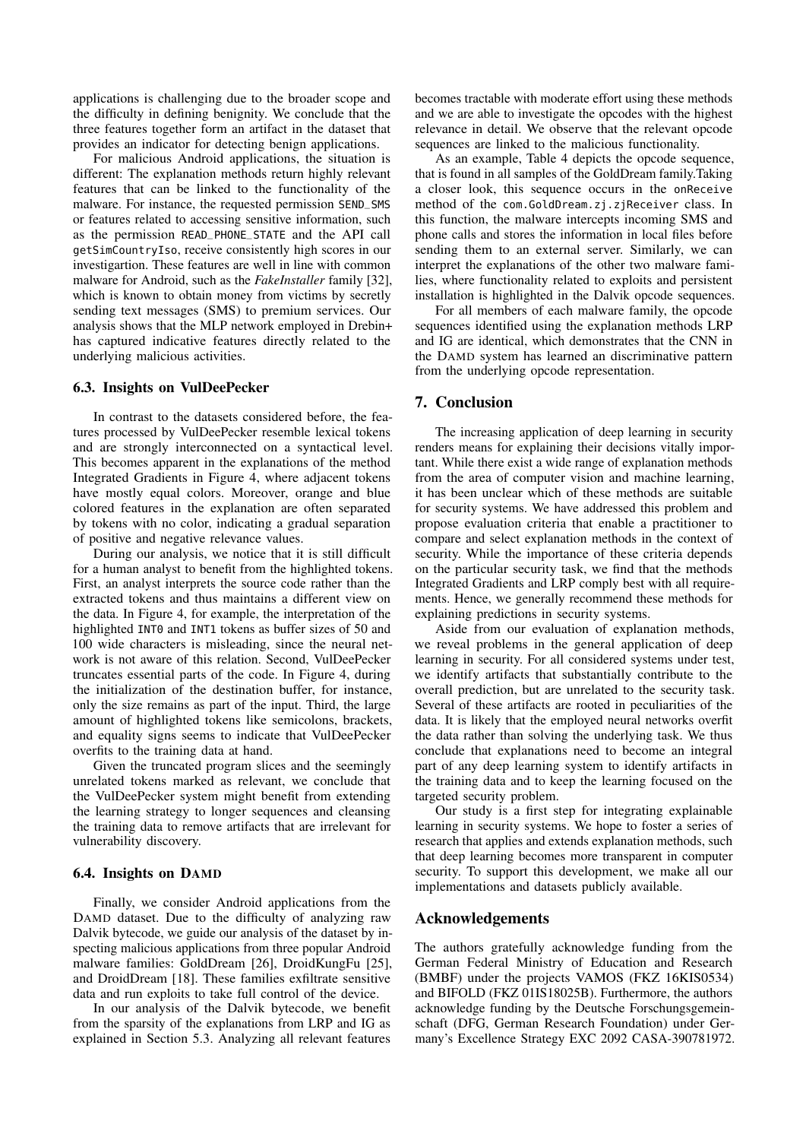applications is challenging due to the broader scope and the difficulty in defining benignity. We conclude that the three features together form an artifact in the dataset that provides an indicator for detecting benign applications.

For malicious Android applications, the situation is different: The explanation methods return highly relevant features that can be linked to the functionality of the malware. For instance, the requested permission SEND\_SMS or features related to accessing sensitive information, such as the permission READ\_PHONE\_STATE and the API call getSimCountryIso, receive consistently high scores in our investigartion. These features are well in line with common malware for Android, such as the *FakeInstaller* family [\[32\]](#page-14-27), which is known to obtain money from victims by secretly sending text messages (SMS) to premium services. Our analysis shows that the MLP network employed in Drebin+ has captured indicative features directly related to the underlying malicious activities.

### 6.3. Insights on VulDeePecker

In contrast to the datasets considered before, the features processed by VulDeePecker resemble lexical tokens and are strongly interconnected on a syntactical level. This becomes apparent in the explanations of the method Integrated Gradients in Figure [4,](#page-5-0) where adjacent tokens have mostly equal colors. Moreover, orange and blue colored features in the explanation are often separated by tokens with no color, indicating a gradual separation of positive and negative relevance values.

During our analysis, we notice that it is still difficult for a human analyst to benefit from the highlighted tokens. First, an analyst interprets the source code rather than the extracted tokens and thus maintains a different view on the data. In Figure [4,](#page-5-0) for example, the interpretation of the highlighted INT0 and INT1 tokens as buffer sizes of 50 and 100 wide characters is misleading, since the neural network is not aware of this relation. Second, VulDeePecker truncates essential parts of the code. In Figure [4,](#page-5-0) during the initialization of the destination buffer, for instance, only the size remains as part of the input. Third, the large amount of highlighted tokens like semicolons, brackets, and equality signs seems to indicate that VulDeePecker overfits to the training data at hand.

Given the truncated program slices and the seemingly unrelated tokens marked as relevant, we conclude that the VulDeePecker system might benefit from extending the learning strategy to longer sequences and cleansing the training data to remove artifacts that are irrelevant for vulnerability discovery.

### 6.4. Insights on DAMD

Finally, we consider Android applications from the DAMD dataset. Due to the difficulty of analyzing raw Dalvik bytecode, we guide our analysis of the dataset by inspecting malicious applications from three popular Android malware families: GoldDream [\[26\]](#page-13-25), DroidKungFu [\[25\]](#page-13-26), and DroidDream [\[18\]](#page-13-27). These families exfiltrate sensitive data and run exploits to take full control of the device.

In our analysis of the Dalvik bytecode, we benefit from the sparsity of the explanations from LRP and IG as explained in Section [5.3.](#page-8-2) Analyzing all relevant features becomes tractable with moderate effort using these methods and we are able to investigate the opcodes with the highest relevance in detail. We observe that the relevant opcode sequences are linked to the malicious functionality.

As an example, Table [4](#page-5-1) depicts the opcode sequence, that is found in all samples of the GoldDream family.Taking a closer look, this sequence occurs in the onReceive method of the com.GoldDream.zj.zjReceiver class. In this function, the malware intercepts incoming SMS and phone calls and stores the information in local files before sending them to an external server. Similarly, we can interpret the explanations of the other two malware families, where functionality related to exploits and persistent installation is highlighted in the Dalvik opcode sequences.

For all members of each malware family, the opcode sequences identified using the explanation methods LRP and IG are identical, which demonstrates that the CNN in the DAMD system has learned an discriminative pattern from the underlying opcode representation.

### <span id="page-12-0"></span>7. Conclusion

The increasing application of deep learning in security renders means for explaining their decisions vitally important. While there exist a wide range of explanation methods from the area of computer vision and machine learning, it has been unclear which of these methods are suitable for security systems. We have addressed this problem and propose evaluation criteria that enable a practitioner to compare and select explanation methods in the context of security. While the importance of these criteria depends on the particular security task, we find that the methods Integrated Gradients and LRP comply best with all requirements. Hence, we generally recommend these methods for explaining predictions in security systems.

Aside from our evaluation of explanation methods, we reveal problems in the general application of deep learning in security. For all considered systems under test, we identify artifacts that substantially contribute to the overall prediction, but are unrelated to the security task. Several of these artifacts are rooted in peculiarities of the data. It is likely that the employed neural networks overfit the data rather than solving the underlying task. We thus conclude that explanations need to become an integral part of any deep learning system to identify artifacts in the training data and to keep the learning focused on the targeted security problem.

Our study is a first step for integrating explainable learning in security systems. We hope to foster a series of research that applies and extends explanation methods, such that deep learning becomes more transparent in computer security. To support this development, we make all our implementations and datasets publicly available.

### Acknowledgements

The authors gratefully acknowledge funding from the German Federal Ministry of Education and Research (BMBF) under the projects VAMOS (FKZ 16KIS0534) and BIFOLD (FKZ 01IS18025B). Furthermore, the authors acknowledge funding by the Deutsche Forschungsgemeinschaft (DFG, German Research Foundation) under Germany's Excellence Strategy EXC 2092 CASA-390781972.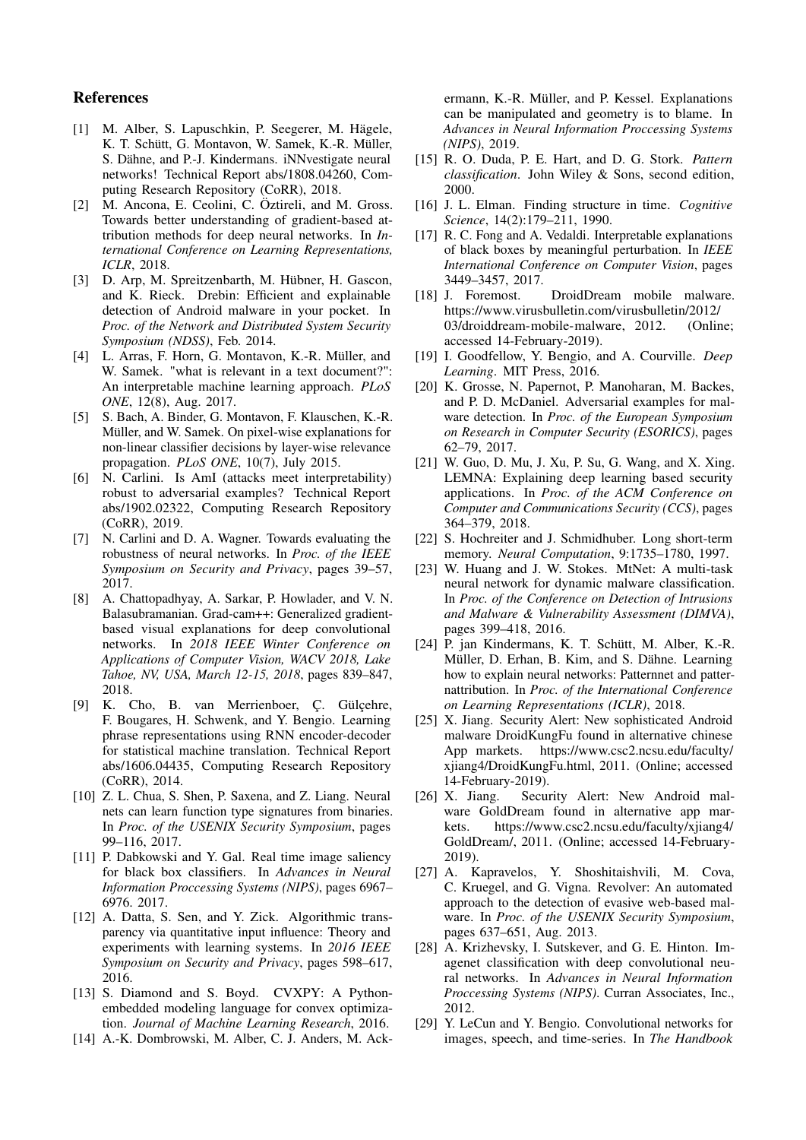### References

- <span id="page-13-21"></span>[1] M. Alber, S. Lapuschkin, P. Seegerer, M. Hägele, K. T. Schütt, G. Montavon, W. Samek, K.-R. Müller, S. Dähne, and P.-J. Kindermans. iNNvestigate neural networks! Technical Report abs/1808.04260, Computing Research Repository (CoRR), 2018.
- <span id="page-13-19"></span>[2] M. Ancona, E. Ceolini, C. Öztireli, and M. Gross. Towards better understanding of gradient-based attribution methods for deep neural networks. In *International Conference on Learning Representations, ICLR*, 2018.
- <span id="page-13-20"></span>[3] D. Arp, M. Spreitzenbarth, M. Hübner, H. Gascon, and K. Rieck. Drebin: Efficient and explainable detection of Android malware in your pocket. In *Proc. of the Network and Distributed System Security Symposium (NDSS)*, Feb. 2014.
- <span id="page-13-5"></span>[4] L. Arras, F. Horn, G. Montavon, K.-R. Müller, and W. Samek. "what is relevant in a text document?": An interpretable machine learning approach. *PLoS ONE*, 12(8), Aug. 2017.
- <span id="page-13-4"></span>[5] S. Bach, A. Binder, G. Montavon, F. Klauschen, K.-R. Müller, and W. Samek. On pixel-wise explanations for non-linear classifier decisions by layer-wise relevance propagation. *PLoS ONE*, 10(7), July 2015.
- <span id="page-13-28"></span>[6] N. Carlini. Is AmI (attacks meet interpretability) robust to adversarial examples? Technical Report abs/1902.02322, Computing Research Repository (CoRR), 2019.
- <span id="page-13-3"></span>[7] N. Carlini and D. A. Wagner. Towards evaluating the robustness of neural networks. In *Proc. of the IEEE Symposium on Security and Privacy*, pages 39–57, 2017.
- <span id="page-13-17"></span>[8] A. Chattopadhyay, A. Sarkar, P. Howlader, and V. N. Balasubramanian. Grad-cam++: Generalized gradientbased visual explanations for deep convolutional networks. In *2018 IEEE Winter Conference on Applications of Computer Vision, WACV 2018, Lake Tahoe, NV, USA, March 12-15, 2018*, pages 839–847, 2018.
- <span id="page-13-11"></span>[9] K. Cho, B. van Merrienboer, Ç. Gülçehre, F. Bougares, H. Schwenk, and Y. Bengio. Learning phrase representations using RNN encoder-decoder for statistical machine translation. Technical Report abs/1606.04435, Computing Research Repository (CoRR), 2014.
- <span id="page-13-2"></span>[10] Z. L. Chua, S. Shen, P. Saxena, and Z. Liang. Neural nets can learn function type signatures from binaries. In *Proc. of the USENIX Security Symposium*, pages 99–116, 2017.
- <span id="page-13-18"></span>[11] P. Dabkowski and Y. Gal. Real time image saliency for black box classifiers. In *Advances in Neural Information Proccessing Systems (NIPS)*, pages 6967– 6976. 2017.
- <span id="page-13-14"></span>[12] A. Datta, S. Sen, and Y. Zick. Algorithmic transparency via quantitative input influence: Theory and experiments with learning systems. In *2016 IEEE Symposium on Security and Privacy*, pages 598–617, 2016.
- <span id="page-13-22"></span>[13] S. Diamond and S. Boyd. CVXPY: A Pythonembedded modeling language for convex optimization. *Journal of Machine Learning Research*, 2016.
- <span id="page-13-7"></span>[14] A.-K. Dombrowski, M. Alber, C. J. Anders, M. Ack-

ermann, K.-R. Müller, and P. Kessel. Explanations can be manipulated and geometry is to blame. In *Advances in Neural Information Proccessing Systems (NIPS)*, 2019.

- <span id="page-13-29"></span>[15] R. O. Duda, P. E. Hart, and D. G. Stork. *Pattern classification*. John Wiley & Sons, second edition, 2000.
- <span id="page-13-13"></span>[16] J. L. Elman. Finding structure in time. *Cognitive Science*, 14(2):179–211, 1990.
- <span id="page-13-15"></span>[17] R. C. Fong and A. Vedaldi. Interpretable explanations of black boxes by meaningful perturbation. In *IEEE International Conference on Computer Vision*, pages 3449–3457, 2017.
- <span id="page-13-27"></span>[18] J. Foremost. DroidDream mobile malware. [https://www.virusbulletin.com/virusbulletin/2012/](https://www.virusbulletin.com/virusbulletin/2012/03/droiddream-mobile-malware) [03/droiddream-mobile-malware,](https://www.virusbulletin.com/virusbulletin/2012/03/droiddream-mobile-malware) 2012. (Online; accessed 14-February-2019).
- <span id="page-13-9"></span>[19] I. Goodfellow, Y. Bengio, and A. Courville. *Deep Learning*. MIT Press, 2016.
- <span id="page-13-24"></span><span id="page-13-23"></span><span id="page-13-0"></span>[20] K. Grosse, N. Papernot, P. Manoharan, M. Backes, and P. D. McDaniel. Adversarial examples for malware detection. In *Proc. of the European Symposium on Research in Computer Security (ESORICS)*, pages 62–79, 2017.
- <span id="page-13-6"></span>[21] W. Guo, D. Mu, J. Xu, P. Su, G. Wang, and X. Xing. LEMNA: Explaining deep learning based security applications. In *Proc. of the ACM Conference on Computer and Communications Security (CCS)*, pages 364–379, 2018.
- <span id="page-13-12"></span>[22] S. Hochreiter and J. Schmidhuber. Long short-term memory. *Neural Computation*, 9:1735–1780, 1997.
- <span id="page-13-1"></span>[23] W. Huang and J. W. Stokes. MtNet: A multi-task neural network for dynamic malware classification. In *Proc. of the Conference on Detection of Intrusions and Malware & Vulnerability Assessment (DIMVA)*, pages 399–418, 2016.
- <span id="page-13-16"></span>[24] P. jan Kindermans, K. T. Schütt, M. Alber, K.-R. Müller, D. Erhan, B. Kim, and S. Dähne. Learning how to explain neural networks: Patternnet and patternattribution. In *Proc. of the International Conference on Learning Representations (ICLR)*, 2018.
- <span id="page-13-26"></span>[25] X. Jiang. Security Alert: New sophisticated Android malware DroidKungFu found in alternative chinese App markets. [https://www.csc2.ncsu.edu/faculty/](https://www.csc2.ncsu.edu/faculty/xjiang4/DroidKungFu.html) [xjiang4/DroidKungFu.html,](https://www.csc2.ncsu.edu/faculty/xjiang4/DroidKungFu.html) 2011. (Online; accessed 14-February-2019).
- <span id="page-13-25"></span>[26] X. Jiang. Security Alert: New Android malware GoldDream found in alternative app markets. [https://www.csc2.ncsu.edu/faculty/xjiang4/](https://www.csc2.ncsu.edu/faculty/xjiang4/GoldDream/) [GoldDream/,](https://www.csc2.ncsu.edu/faculty/xjiang4/GoldDream/) 2011. (Online; accessed 14-February-2019).
- [27] A. Kapravelos, Y. Shoshitaishvili, M. Cova, C. Kruegel, and G. Vigna. Revolver: An automated approach to the detection of evasive web-based malware. In *Proc. of the USENIX Security Symposium*, pages 637–651, Aug. 2013.
- <span id="page-13-8"></span>[28] A. Krizhevsky, I. Sutskever, and G. E. Hinton. Imagenet classification with deep convolutional neural networks. In *Advances in Neural Information Proccessing Systems (NIPS)*. Curran Associates, Inc., 2012.
- <span id="page-13-10"></span>[29] Y. LeCun and Y. Bengio. Convolutional networks for images, speech, and time-series. In *The Handbook*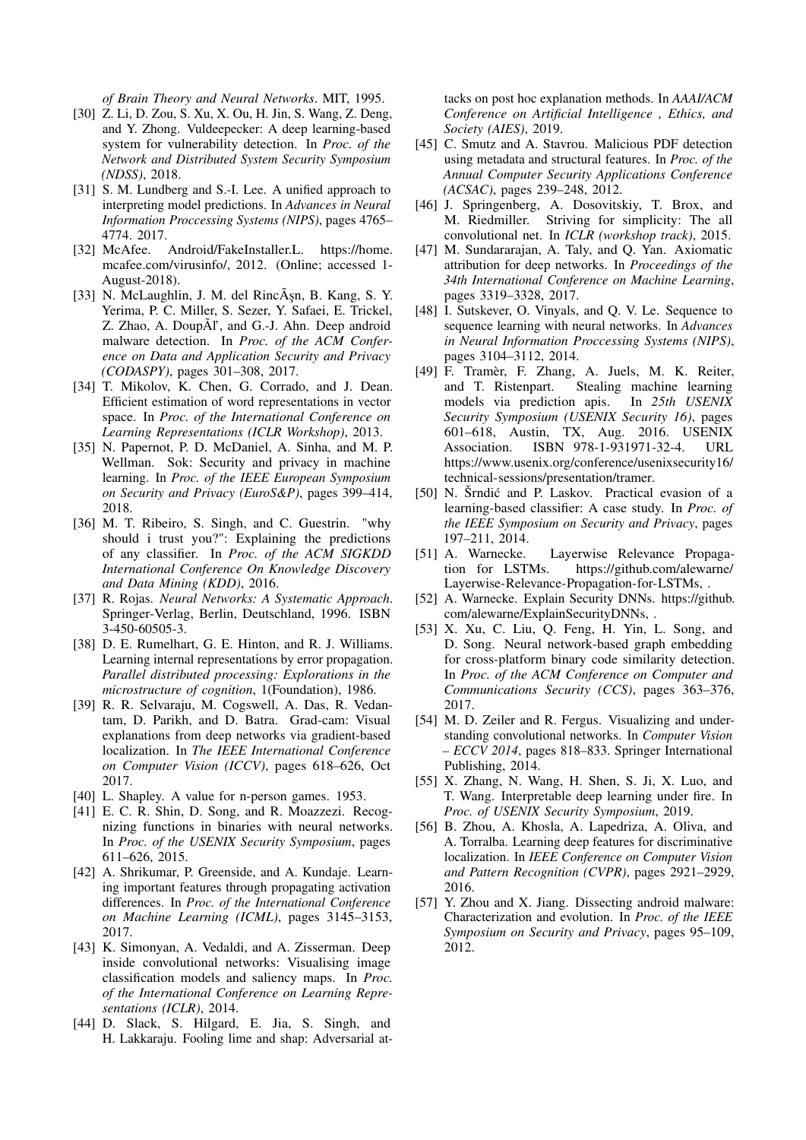*of Brain Theory and Neural Networks*. MIT, 1995.

- <span id="page-14-3"></span>[30] Z. Li, D. Zou, S. Xu, X. Ou, H. Jin, S. Wang, Z. Deng, and Y. Zhong. Vuldeepecker: A deep learning-based system for vulnerability detection. In *Proc. of the Network and Distributed System Security Symposium (NDSS)*, 2018.
- <span id="page-14-18"></span>[31] S. M. Lundberg and S.-I. Lee. A unified approach to interpreting model predictions. In *Advances in Neural Information Proccessing Systems (NIPS)*, pages 4765– 4774. 2017.
- <span id="page-14-27"></span>[32] McAfee. Android/FakeInstaller.L. [https://home.](https://home.mcafee.com/virusinfo/) [mcafee.com/virusinfo/,](https://home.mcafee.com/virusinfo/) 2012. (Online; accessed 1- August-2018).
- <span id="page-14-0"></span>[33] N. McLaughlin, J. M. del RincÂsn, B. Kang, S. Y. Yerima, P. C. Miller, S. Sezer, Y. Safaei, E. Trickel, Z. Zhao, A. DoupÃl', and G.-J. Ahn. Deep android malware detection. In *Proc. of the ACM Conference on Data and Application Security and Privacy (CODASPY)*, pages 301–308, 2017.
- <span id="page-14-22"></span>[34] T. Mikolov, K. Chen, G. Corrado, and J. Dean. Efficient estimation of word representations in vector space. In *Proc. of the International Conference on Learning Representations (ICLR Workshop)*, 2013.
- <span id="page-14-4"></span>[35] N. Papernot, P. D. McDaniel, A. Sinha, and M. P. Wellman. Sok: Security and privacy in machine learning. In *Proc. of the IEEE European Symposium on Security and Privacy (EuroS&P)*, pages 399–414, 2018.
- <span id="page-14-13"></span>[36] M. T. Ribeiro, S. Singh, and C. Guestrin. "why should i trust you?": Explaining the predictions of any classifier. In *Proc. of the ACM SIGKDD International Conference On Knowledge Discovery and Data Mining (KDD)*, 2016.
- <span id="page-14-11"></span>[37] R. Rojas. *Neural Networks: A Systematic Approach*. Springer-Verlag, Berlin, Deutschland, 1996. ISBN 3-450-60505-3.
- <span id="page-14-12"></span>[38] D. E. Rumelhart, G. E. Hinton, and R. J. Williams. Learning internal representations by error propagation. *Parallel distributed processing: Explorations in the microstructure of cognition*, 1(Foundation), 1986.
- <span id="page-14-17"></span>[39] R. R. Selvaraju, M. Cogswell, A. Das, R. Vedantam, D. Parikh, and D. Batra. Grad-cam: Visual explanations from deep networks via gradient-based localization. In *The IEEE International Conference on Computer Vision (ICCV)*, pages 618–626, Oct 2017.
- <span id="page-14-19"></span>[40] L. Shapley. A value for n-person games. 1953.
- <span id="page-14-1"></span>[41] E. C. R. Shin, D. Song, and R. Moazzezi. Recognizing functions in binaries with neural networks. In *Proc. of the USENIX Security Symposium*, pages 611–626, 2015.
- <span id="page-14-15"></span>[42] A. Shrikumar, P. Greenside, and A. Kundaje. Learning important features through propagating activation differences. In *Proc. of the International Conference on Machine Learning (ICML)*, pages 3145–3153, 2017.
- <span id="page-14-5"></span>[43] K. Simonyan, A. Vedaldi, and A. Zisserman. Deep inside convolutional networks: Visualising image classification models and saliency maps. In *Proc. of the International Conference on Learning Representations (ICLR)*, 2014.
- <span id="page-14-23"></span>[44] D. Slack, S. Hilgard, E. Jia, S. Singh, and H. Lakkaraju. Fooling lime and shap: Adversarial at-

tacks on post hoc explanation methods. In *AAAI/ACM Conference on Artificial Intelligence , Ethics, and Society (AIES)*, 2019.

- <span id="page-14-20"></span>[45] C. Smutz and A. Stavrou. Malicious PDF detection using metadata and structural features. In *Proc. of the Annual Computer Security Applications Conference (ACSAC)*, pages 239–248, 2012.
- <span id="page-14-14"></span>[46] J. Springenberg, A. Dosovitskiy, T. Brox, and M. Riedmiller. Striving for simplicity: The all convolutional net. In *ICLR (workshop track)*, 2015.
- <span id="page-14-9"></span>[47] M. Sundararajan, A. Taly, and Q. Yan. Axiomatic attribution for deep networks. In *Proceedings of the 34th International Conference on Machine Learning*, pages 3319–3328, 2017.
- <span id="page-14-10"></span>[48] I. Sutskever, O. Vinyals, and Q. V. Le. Sequence to sequence learning with neural networks. In *Advances in Neural Information Proccessing Systems (NIPS)*, pages 3104–3112, 2014.
- <span id="page-14-26"></span>[49] F. Tramèr, F. Zhang, A. Juels, M. K. Reiter, and T. Ristenpart. Stealing machine learning models via prediction apis. In *25th USENIX Security Symposium (USENIX Security 16)*, pages 601–618, Austin, TX, Aug. 2016. USENIX Association. ISBN 978-1-931971-32-4. URL [https://www.usenix.org/conference/usenixsecurity16/](https://www.usenix.org/conference/usenixsecurity16/technical-sessions/presentation/tramer) [technical-sessions/presentation/tramer.](https://www.usenix.org/conference/usenixsecurity16/technical-sessions/presentation/tramer)
- <span id="page-14-8"></span>[50] N. Šrndić and P. Laskov. Practical evasion of a learning-based classifier: A case study. In *Proc. of the IEEE Symposium on Security and Privacy*, pages 197–211, 2014.
- <span id="page-14-24"></span>[51] A. Warnecke. Layerwise Relevance Propagation for LSTMs. [https://github.com/alewarne/](https://github.com/alewarne/Layerwise-Relevance-Propagation-for-LSTMs) [Layerwise-Relevance-Propagation-for-LSTMs,](https://github.com/alewarne/Layerwise-Relevance-Propagation-for-LSTMs) .
- <span id="page-14-25"></span>[52] A. Warnecke. Explain Security DNNs. [https://github.](https://github.com/alewarne/ExplainSecurityDNNs) [com/alewarne/ExplainSecurityDNNs,](https://github.com/alewarne/ExplainSecurityDNNs) .
- <span id="page-14-2"></span>[53] X. Xu, C. Liu, Q. Feng, H. Yin, L. Song, and D. Song. Neural network-based graph embedding for cross-platform binary code similarity detection. In *Proc. of the ACM Conference on Computer and Communications Security (CCS)*, pages 363–376, 2017.
- <span id="page-14-6"></span>[54] M. D. Zeiler and R. Fergus. Visualizing and understanding convolutional networks. In *Computer Vision – ECCV 2014*, pages 818–833. Springer International Publishing, 2014.
- <span id="page-14-7"></span>[55] X. Zhang, N. Wang, H. Shen, S. Ji, X. Luo, and T. Wang. Interpretable deep learning under fire. In *Proc. of USENIX Security Symposium*, 2019.
- <span id="page-14-16"></span>[56] B. Zhou, A. Khosla, A. Lapedriza, A. Oliva, and A. Torralba. Learning deep features for discriminative localization. In *IEEE Conference on Computer Vision and Pattern Recognition (CVPR)*, pages 2921–2929, 2016.
- <span id="page-14-21"></span>[57] Y. Zhou and X. Jiang. Dissecting android malware: Characterization and evolution. In *Proc. of the IEEE Symposium on Security and Privacy*, pages 95–109, 2012.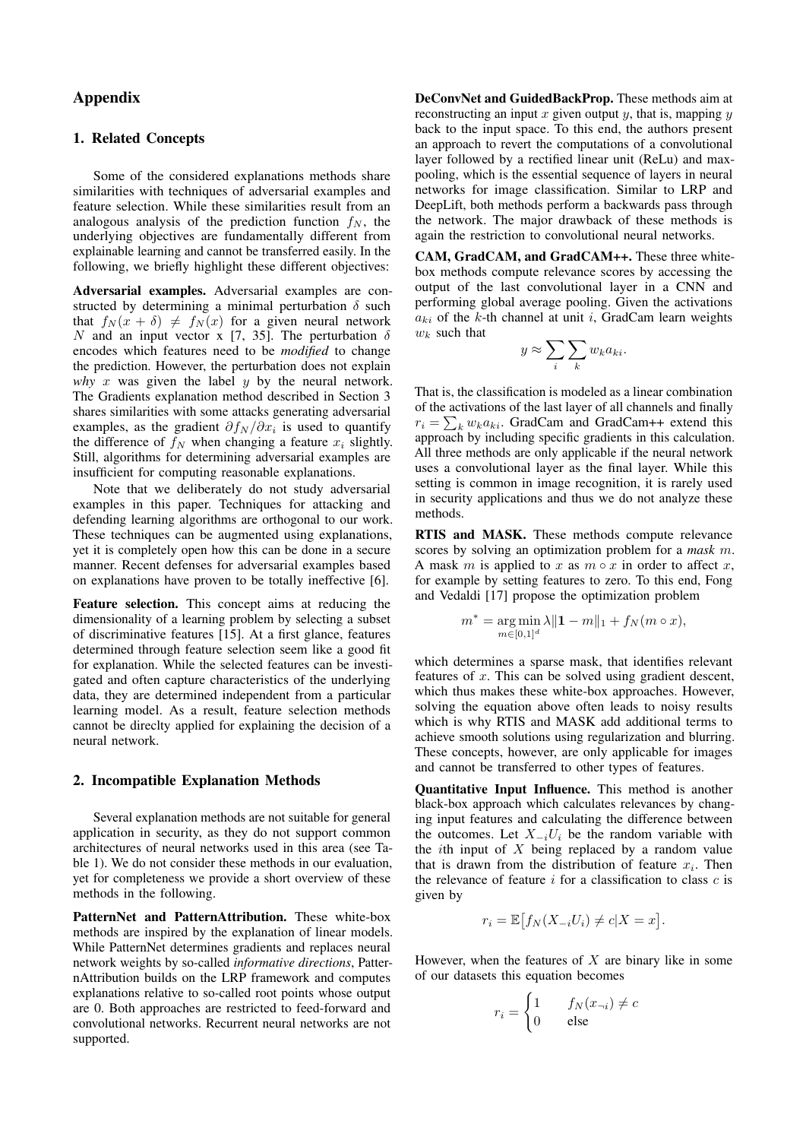### Appendix

### <span id="page-15-0"></span>1. Related Concepts

Some of the considered explanations methods share similarities with techniques of adversarial examples and feature selection. While these similarities result from an analogous analysis of the prediction function  $f_N$ , the underlying objectives are fundamentally different from explainable learning and cannot be transferred easily. In the following, we briefly highlight these different objectives:

Adversarial examples. Adversarial examples are constructed by determining a minimal perturbation  $\delta$  such that  $f_N (x + \delta) \neq f_N (x)$  for a given neural network N and an input vector x [\[7,](#page-13-3) [35\]](#page-14-4). The perturbation  $\delta$ encodes which features need to be *modified* to change the prediction. However, the perturbation does not explain *why*  $x$  was given the label  $y$  by the neural network. The Gradients explanation method described in Section [3](#page-2-0) shares similarities with some attacks generating adversarial examples, as the gradient  $\partial f_N / \partial x_i$  is used to quantify the difference of  $f_N$  when changing a feature  $x_i$  slightly. Still, algorithms for determining adversarial examples are insufficient for computing reasonable explanations.

Note that we deliberately do not study adversarial examples in this paper. Techniques for attacking and defending learning algorithms are orthogonal to our work. These techniques can be augmented using explanations, yet it is completely open how this can be done in a secure manner. Recent defenses for adversarial examples based on explanations have proven to be totally ineffective [\[6\]](#page-13-28).

Feature selection. This concept aims at reducing the dimensionality of a learning problem by selecting a subset of discriminative features [\[15\]](#page-13-29). At a first glance, features determined through feature selection seem like a good fit for explanation. While the selected features can be investigated and often capture characteristics of the underlying data, they are determined independent from a particular learning model. As a result, feature selection methods cannot be direclty applied for explaining the decision of a neural network.

### <span id="page-15-1"></span>2. Incompatible Explanation Methods

Several explanation methods are not suitable for general application in security, as they do not support common architectures of neural networks used in this area (see Table [1\)](#page-2-3). We do not consider these methods in our evaluation, yet for completeness we provide a short overview of these methods in the following.

PatternNet and PatternAttribution. These white-box methods are inspired by the explanation of linear models. While PatternNet determines gradients and replaces neural network weights by so-called *informative directions*, PatternAttribution builds on the LRP framework and computes explanations relative to so-called root points whose output are 0. Both approaches are restricted to feed-forward and convolutional networks. Recurrent neural networks are not supported.

DeConvNet and GuidedBackProp. These methods aim at reconstructing an input x given output y, that is, mapping y back to the input space. To this end, the authors present an approach to revert the computations of a convolutional layer followed by a rectified linear unit (ReLu) and maxpooling, which is the essential sequence of layers in neural networks for image classification. Similar to LRP and DeepLift, both methods perform a backwards pass through the network. The major drawback of these methods is again the restriction to convolutional neural networks.

CAM, GradCAM, and GradCAM++. These three whitebox methods compute relevance scores by accessing the output of the last convolutional layer in a CNN and performing global average pooling. Given the activations  $a_{ki}$  of the k-th channel at unit i, GradCam learn weights  $w_k$  such that

$$
y \approx \sum_{i} \sum_{k} w_k a_{ki}.
$$

That is, the classification is modeled as a linear combination of the activations of the last layer of all channels and finally  $r_i = \sum_k w_k a_{ki}$ . GradCam and GradCam++ extend this approach by including specific gradients in this calculation. All three methods are only applicable if the neural network uses a convolutional layer as the final layer. While this setting is common in image recognition, it is rarely used in security applications and thus we do not analyze these methods.

RTIS and MASK. These methods compute relevance scores by solving an optimization problem for a *mask* m. A mask m is applied to x as  $m \circ x$  in order to affect x, for example by setting features to zero. To this end, Fong and Vedaldi [\[17\]](#page-13-15) propose the optimization problem

$$
m^*=\mathop{\arg\min}\limits_{m\in[0,1]^d}\lambda\|\mathbf{1}-m\|_1+f_N(m\circ x),
$$

which determines a sparse mask, that identifies relevant features of  $x$ . This can be solved using gradient descent, which thus makes these white-box approaches. However, solving the equation above often leads to noisy results which is why RTIS and MASK add additional terms to achieve smooth solutions using regularization and blurring. These concepts, however, are only applicable for images and cannot be transferred to other types of features.

Quantitative Input Influence. This method is another black-box approach which calculates relevances by changing input features and calculating the difference between the outcomes. Let  $X_{-i}U_i$  be the random variable with the *i*th input of  $X$  being replaced by a random value that is drawn from the distribution of feature  $x_i$ . Then the relevance of feature  $i$  for a classification to class  $c$  is given by

$$
r_i = \mathbb{E}\left[f_N(X_{-i}U_i) \neq c | X = x\right].
$$

However, when the features of  $X$  are binary like in some of our datasets this equation becomes

$$
r_i = \begin{cases} 1 & f_N(x_{\neg i}) \neq c \\ 0 & \text{else} \end{cases}
$$